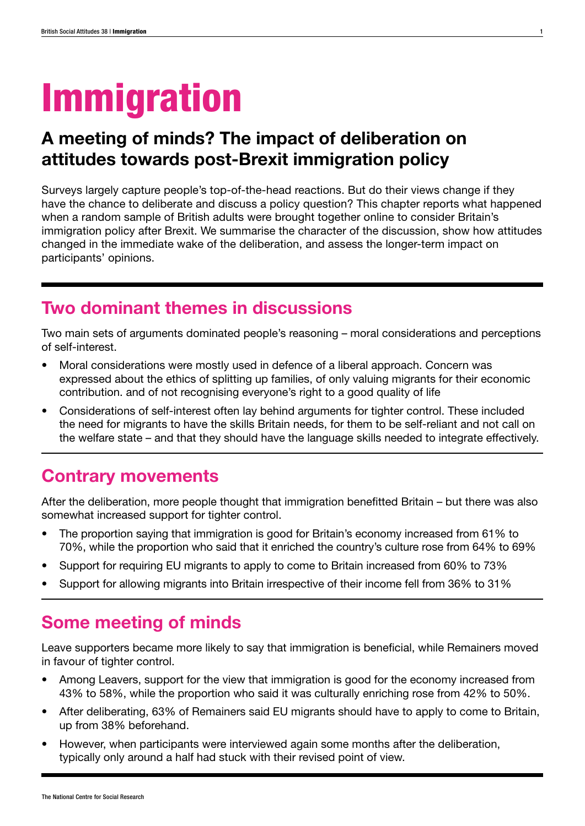# Immigration

# A meeting of minds? The impact of deliberation on attitudes towards post-Brexit immigration policy

Surveys largely capture people's top-of-the-head reactions. But do their views change if they have the chance to deliberate and discuss a policy question? This chapter reports what happened when a random sample of British adults were brought together online to consider Britain's immigration policy after Brexit. We summarise the character of the discussion, show how attitudes changed in the immediate wake of the deliberation, and assess the longer-term impact on participants' opinions.

# Two dominant themes in discussions

Two main sets of arguments dominated people's reasoning – moral considerations and perceptions of self-interest.

- Moral considerations were mostly used in defence of a liberal approach. Concern was expressed about the ethics of splitting up families, of only valuing migrants for their economic contribution. and of not recognising everyone's right to a good quality of life
- Considerations of self-interest often lay behind arguments for tighter control. These included the need for migrants to have the skills Britain needs, for them to be self-reliant and not call on the welfare state – and that they should have the language skills needed to integrate effectively.

# Contrary movements

After the deliberation, more people thought that immigration benefitted Britain – but there was also somewhat increased support for tighter control.

- The proportion saying that immigration is good for Britain's economy increased from 61% to 70%, while the proportion who said that it enriched the country's culture rose from 64% to 69%
- Support for requiring EU migrants to apply to come to Britain increased from 60% to 73%
- Support for allowing migrants into Britain irrespective of their income fell from 36% to 31%

# Some meeting of minds

Leave supporters became more likely to say that immigration is beneficial, while Remainers moved in favour of tighter control.

- Among Leavers, support for the view that immigration is good for the economy increased from 43% to 58%, while the proportion who said it was culturally enriching rose from 42% to 50%.
- After deliberating, 63% of Remainers said EU migrants should have to apply to come to Britain, up from 38% beforehand.
- However, when participants were interviewed again some months after the deliberation, typically only around a half had stuck with their revised point of view.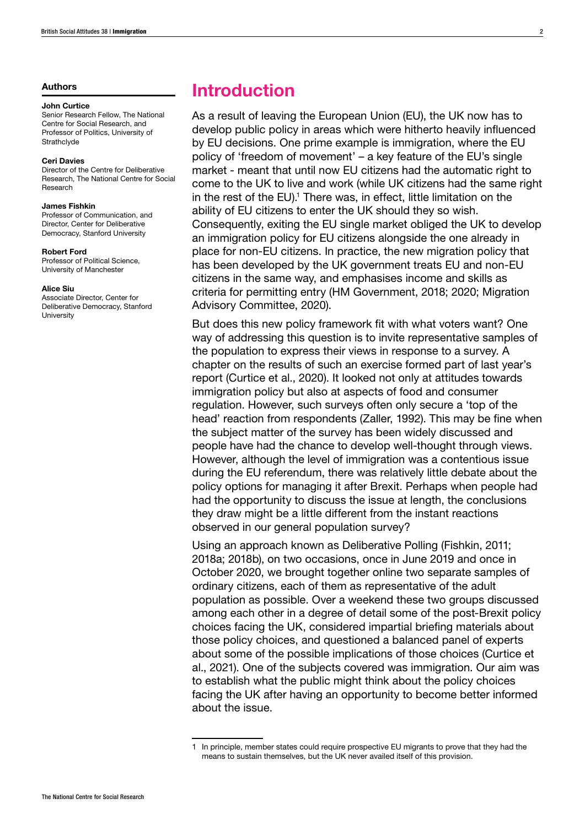#### **Authors**

#### John Curtice

Senior Research Fellow, The National Centre for Social Research, and Professor of Politics, University of **Strathclyde** 

#### Ceri Davies

Director of the Centre for Deliberative Research, The National Centre for Social Research

#### James Fishkin

Professor of Communication, and Director, Center for Deliberative Democracy, Stanford University

#### Robert Ford

Professor of Political Science, University of Manchester

#### Alice Siu

Associate Director, Center for Deliberative Democracy, Stanford University

## Introduction

As a result of leaving the European Union (EU), the UK now has to develop public policy in areas which were hitherto heavily influenced by EU decisions. One prime example is immigration, where the EU policy of 'freedom of movement' – a key feature of the EU's single market - meant that until now EU citizens had the automatic right to come to the UK to live and work (while UK citizens had the same right in the rest of the EU).<sup>1</sup> There was, in effect, little limitation on the ability of EU citizens to enter the UK should they so wish. Consequently, exiting the EU single market obliged the UK to develop an immigration policy for EU citizens alongside the one already in place for non-EU citizens. In practice, the new migration policy that has been developed by the UK government treats EU and non-EU citizens in the same way, and emphasises income and skills as criteria for permitting entry (HM Government, 2018; 2020; Migration Advisory Committee, 2020).

But does this new policy framework fit with what voters want? One way of addressing this question is to invite representative samples of the population to express their views in response to a survey. A chapter on the results of such an exercise formed part of last year's report (Curtice et al., 2020). It looked not only at attitudes towards immigration policy but also at aspects of food and consumer regulation. However, such surveys often only secure a 'top of the head' reaction from respondents (Zaller, 1992). This may be fine when the subject matter of the survey has been widely discussed and people have had the chance to develop well-thought through views. However, although the level of immigration was a contentious issue during the EU referendum, there was relatively little debate about the policy options for managing it after Brexit. Perhaps when people had had the opportunity to discuss the issue at length, the conclusions they draw might be a little different from the instant reactions observed in our general population survey?

Using an approach known as Deliberative Polling (Fishkin, 2011; 2018a; 2018b), on two occasions, once in June 2019 and once in October 2020, we brought together online two separate samples of ordinary citizens, each of them as representative of the adult population as possible. Over a weekend these two groups discussed among each other in a degree of detail some of the post-Brexit policy choices facing the UK, considered impartial briefing materials about those policy choices, and questioned a balanced panel of experts about some of the possible implications of those choices (Curtice et al., 2021). One of the subjects covered was immigration. Our aim was to establish what the public might think about the policy choices facing the UK after having an opportunity to become better informed about the issue.

<sup>1</sup> In principle, member states could require prospective EU migrants to prove that they had the means to sustain themselves, but the UK never availed itself of this provision.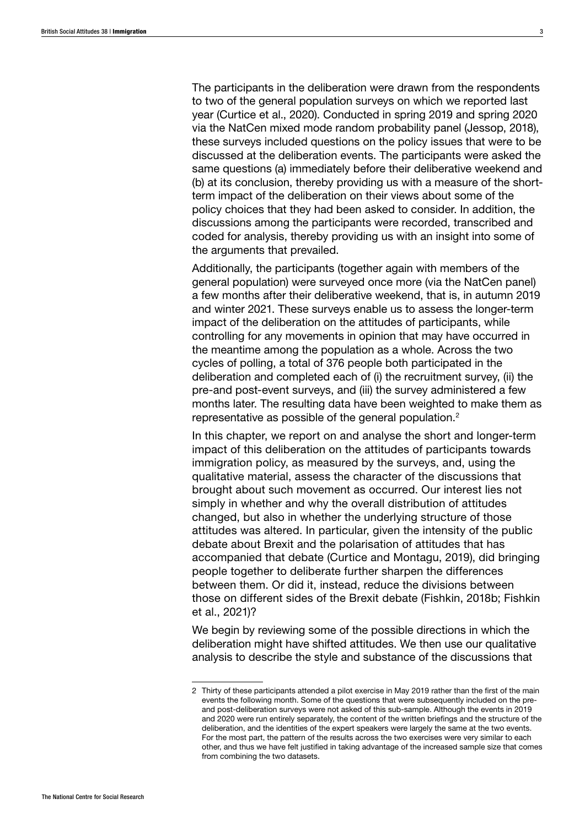The participants in the deliberation were drawn from the respondents to two of the general population surveys on which we reported last year (Curtice et al., 2020). Conducted in spring 2019 and spring 2020 via the NatCen mixed mode random probability panel (Jessop, 2018), these surveys included questions on the policy issues that were to be discussed at the deliberation events. The participants were asked the same questions (a) immediately before their deliberative weekend and (b) at its conclusion, thereby providing us with a measure of the shortterm impact of the deliberation on their views about some of the policy choices that they had been asked to consider. In addition, the discussions among the participants were recorded, transcribed and coded for analysis, thereby providing us with an insight into some of the arguments that prevailed.

Additionally, the participants (together again with members of the general population) were surveyed once more (via the NatCen panel) a few months after their deliberative weekend, that is, in autumn 2019 and winter 2021. These surveys enable us to assess the longer-term impact of the deliberation on the attitudes of participants, while controlling for any movements in opinion that may have occurred in the meantime among the population as a whole. Across the two cycles of polling, a total of 376 people both participated in the deliberation and completed each of (i) the recruitment survey, (ii) the pre-and post-event surveys, and (iii) the survey administered a few months later. The resulting data have been weighted to make them as representative as possible of the general population.2

In this chapter, we report on and analyse the short and longer-term impact of this deliberation on the attitudes of participants towards immigration policy, as measured by the surveys, and, using the qualitative material, assess the character of the discussions that brought about such movement as occurred. Our interest lies not simply in whether and why the overall distribution of attitudes changed, but also in whether the underlying structure of those attitudes was altered. In particular, given the intensity of the public debate about Brexit and the polarisation of attitudes that has accompanied that debate (Curtice and Montagu, 2019), did bringing people together to deliberate further sharpen the differences between them. Or did it, instead, reduce the divisions between those on different sides of the Brexit debate (Fishkin, 2018b; Fishkin et al., 2021)?

We begin by reviewing some of the possible directions in which the deliberation might have shifted attitudes. We then use our qualitative analysis to describe the style and substance of the discussions that

<sup>2</sup> Thirty of these participants attended a pilot exercise in May 2019 rather than the first of the main events the following month. Some of the questions that were subsequently included on the preand post-deliberation surveys were not asked of this sub-sample. Although the events in 2019 and 2020 were run entirely separately, the content of the written briefings and the structure of the deliberation, and the identities of the expert speakers were largely the same at the two events. For the most part, the pattern of the results across the two exercises were very similar to each other, and thus we have felt justified in taking advantage of the increased sample size that comes from combining the two datasets.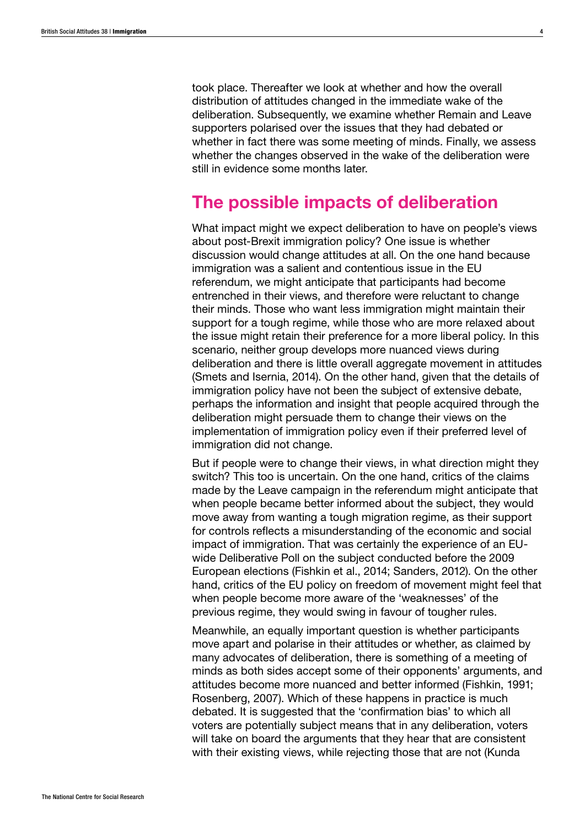took place. Thereafter we look at whether and how the overall distribution of attitudes changed in the immediate wake of the deliberation. Subsequently, we examine whether Remain and Leave supporters polarised over the issues that they had debated or whether in fact there was some meeting of minds. Finally, we assess whether the changes observed in the wake of the deliberation were still in evidence some months later.

## The possible impacts of deliberation

What impact might we expect deliberation to have on people's views about post-Brexit immigration policy? One issue is whether discussion would change attitudes at all. On the one hand because immigration was a salient and contentious issue in the EU referendum, we might anticipate that participants had become entrenched in their views, and therefore were reluctant to change their minds. Those who want less immigration might maintain their support for a tough regime, while those who are more relaxed about the issue might retain their preference for a more liberal policy. In this scenario, neither group develops more nuanced views during deliberation and there is little overall aggregate movement in attitudes (Smets and Isernia, 2014). On the other hand, given that the details of immigration policy have not been the subject of extensive debate, perhaps the information and insight that people acquired through the deliberation might persuade them to change their views on the implementation of immigration policy even if their preferred level of immigration did not change.

But if people were to change their views, in what direction might they switch? This too is uncertain. On the one hand, critics of the claims made by the Leave campaign in the referendum might anticipate that when people became better informed about the subject, they would move away from wanting a tough migration regime, as their support for controls reflects a misunderstanding of the economic and social impact of immigration. That was certainly the experience of an EUwide Deliberative Poll on the subject conducted before the 2009 European elections (Fishkin et al., 2014; Sanders, 2012). On the other hand, critics of the EU policy on freedom of movement might feel that when people become more aware of the 'weaknesses' of the previous regime, they would swing in favour of tougher rules.

Meanwhile, an equally important question is whether participants move apart and polarise in their attitudes or whether, as claimed by many advocates of deliberation, there is something of a meeting of minds as both sides accept some of their opponents' arguments, and attitudes become more nuanced and better informed (Fishkin, 1991; Rosenberg, 2007). Which of these happens in practice is much debated. It is suggested that the 'confirmation bias' to which all voters are potentially subject means that in any deliberation, voters will take on board the arguments that they hear that are consistent with their existing views, while rejecting those that are not (Kunda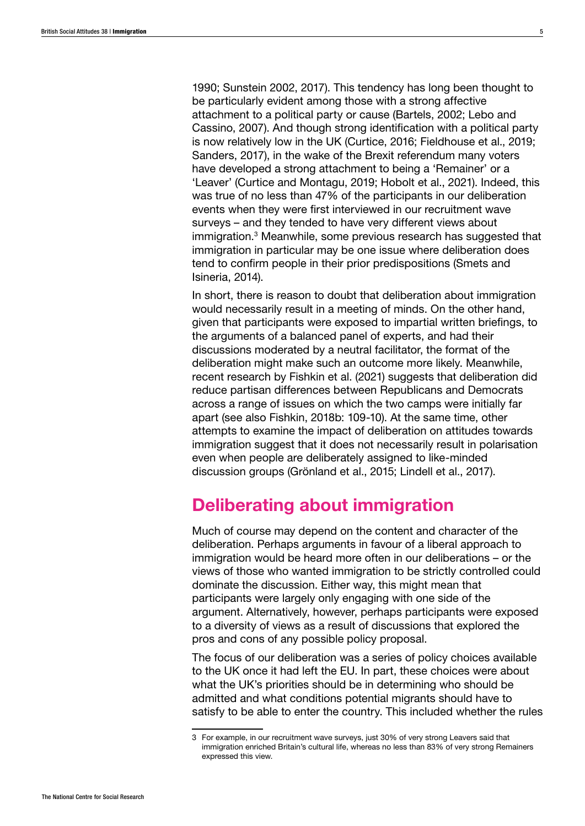1990; Sunstein 2002, 2017). This tendency has long been thought to be particularly evident among those with a strong affective attachment to a political party or cause (Bartels, 2002; Lebo and Cassino, 2007). And though strong identification with a political party is now relatively low in the UK (Curtice, 2016; Fieldhouse et al., 2019; Sanders, 2017), in the wake of the Brexit referendum many voters have developed a strong attachment to being a 'Remainer' or a 'Leaver' (Curtice and Montagu, 2019; Hobolt et al., 2021). Indeed, this was true of no less than 47% of the participants in our deliberation events when they were first interviewed in our recruitment wave surveys – and they tended to have very different views about immigration.<sup>3</sup> Meanwhile, some previous research has suggested that immigration in particular may be one issue where deliberation does tend to confirm people in their prior predispositions (Smets and Isineria, 2014).

In short, there is reason to doubt that deliberation about immigration would necessarily result in a meeting of minds. On the other hand, given that participants were exposed to impartial written briefings, to the arguments of a balanced panel of experts, and had their discussions moderated by a neutral facilitator, the format of the deliberation might make such an outcome more likely. Meanwhile, recent research by Fishkin et al. (2021) suggests that deliberation did reduce partisan differences between Republicans and Democrats across a range of issues on which the two camps were initially far apart (see also Fishkin, 2018b: 109-10). At the same time, other attempts to examine the impact of deliberation on attitudes towards immigration suggest that it does not necessarily result in polarisation even when people are deliberately assigned to like-minded discussion groups (Grönland et al., 2015; Lindell et al., 2017).

# Deliberating about immigration

Much of course may depend on the content and character of the deliberation. Perhaps arguments in favour of a liberal approach to immigration would be heard more often in our deliberations – or the views of those who wanted immigration to be strictly controlled could dominate the discussion. Either way, this might mean that participants were largely only engaging with one side of the argument. Alternatively, however, perhaps participants were exposed to a diversity of views as a result of discussions that explored the pros and cons of any possible policy proposal.

The focus of our deliberation was a series of policy choices available to the UK once it had left the EU. In part, these choices were about what the UK's priorities should be in determining who should be admitted and what conditions potential migrants should have to satisfy to be able to enter the country. This included whether the rules

<sup>3</sup> For example, in our recruitment wave surveys, just 30% of very strong Leavers said that immigration enriched Britain's cultural life, whereas no less than 83% of very strong Remainers expressed this view.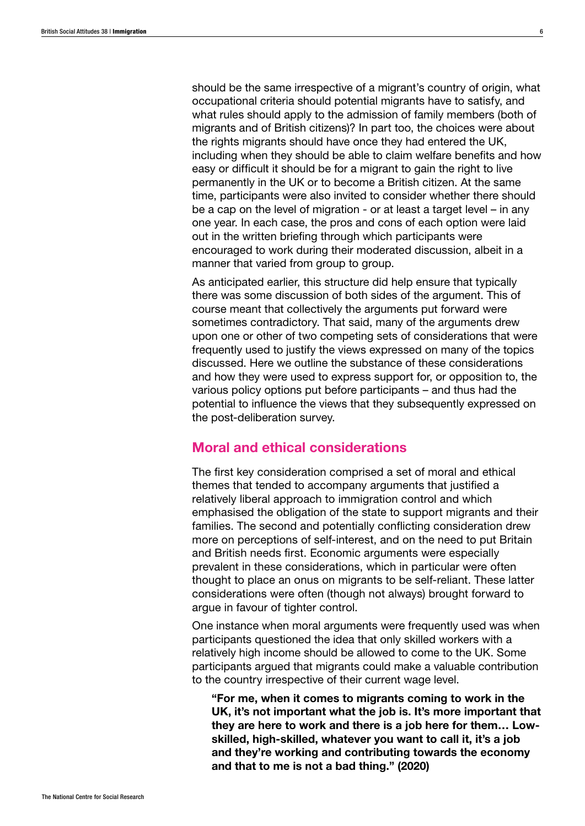should be the same irrespective of a migrant's country of origin, what occupational criteria should potential migrants have to satisfy, and what rules should apply to the admission of family members (both of migrants and of British citizens)? In part too, the choices were about the rights migrants should have once they had entered the UK, including when they should be able to claim welfare benefits and how easy or difficult it should be for a migrant to gain the right to live permanently in the UK or to become a British citizen. At the same time, participants were also invited to consider whether there should be a cap on the level of migration - or at least a target level – in any one year. In each case, the pros and cons of each option were laid out in the written briefing through which participants were encouraged to work during their moderated discussion, albeit in a manner that varied from group to group.

As anticipated earlier, this structure did help ensure that typically there was some discussion of both sides of the argument. This of course meant that collectively the arguments put forward were sometimes contradictory. That said, many of the arguments drew upon one or other of two competing sets of considerations that were frequently used to justify the views expressed on many of the topics discussed. Here we outline the substance of these considerations and how they were used to express support for, or opposition to, the various policy options put before participants – and thus had the potential to influence the views that they subsequently expressed on the post-deliberation survey.

## Moral and ethical considerations

The first key consideration comprised a set of moral and ethical themes that tended to accompany arguments that justified a relatively liberal approach to immigration control and which emphasised the obligation of the state to support migrants and their families. The second and potentially conflicting consideration drew more on perceptions of self-interest, and on the need to put Britain and British needs first. Economic arguments were especially prevalent in these considerations, which in particular were often thought to place an onus on migrants to be self-reliant. These latter considerations were often (though not always) brought forward to argue in favour of tighter control.

One instance when moral arguments were frequently used was when participants questioned the idea that only skilled workers with a relatively high income should be allowed to come to the UK. Some participants argued that migrants could make a valuable contribution to the country irrespective of their current wage level.

"For me, when it comes to migrants coming to work in the UK, it's not important what the job is. It's more important that they are here to work and there is a job here for them… Lowskilled, high-skilled, whatever you want to call it, it's a job and they're working and contributing towards the economy and that to me is not a bad thing." (2020)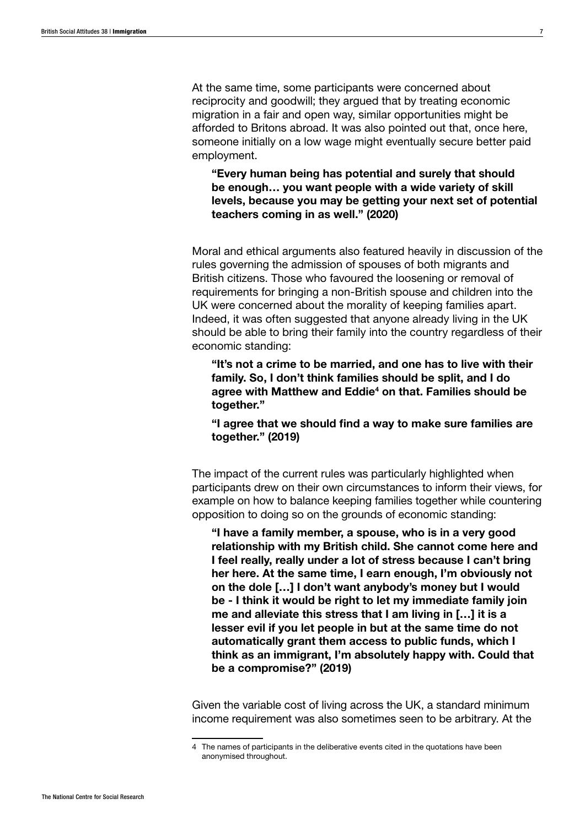At the same time, some participants were concerned about reciprocity and goodwill; they argued that by treating economic migration in a fair and open way, similar opportunities might be afforded to Britons abroad. It was also pointed out that, once here, someone initially on a low wage might eventually secure better paid employment.

"Every human being has potential and surely that should be enough… you want people with a wide variety of skill levels, because you may be getting your next set of potential teachers coming in as well." (2020)

Moral and ethical arguments also featured heavily in discussion of the rules governing the admission of spouses of both migrants and British citizens. Those who favoured the loosening or removal of requirements for bringing a non-British spouse and children into the UK were concerned about the morality of keeping families apart. Indeed, it was often suggested that anyone already living in the UK should be able to bring their family into the country regardless of their economic standing:

"It's not a crime to be married, and one has to live with their family. So, I don't think families should be split, and I do agree with Matthew and Eddie<sup>4</sup> on that. Families should be together."

"I agree that we should find a way to make sure families are together." (2019)

The impact of the current rules was particularly highlighted when participants drew on their own circumstances to inform their views, for example on how to balance keeping families together while countering opposition to doing so on the grounds of economic standing:

"I have a family member, a spouse, who is in a very good relationship with my British child. She cannot come here and I feel really, really under a lot of stress because I can't bring her here. At the same time, I earn enough, I'm obviously not on the dole […] I don't want anybody's money but I would be - I think it would be right to let my immediate family join me and alleviate this stress that I am living in […] it is a lesser evil if you let people in but at the same time do not automatically grant them access to public funds, which I think as an immigrant, I'm absolutely happy with. Could that be a compromise?" (2019)

Given the variable cost of living across the UK, a standard minimum income requirement was also sometimes seen to be arbitrary. At the

<sup>4</sup> The names of participants in the deliberative events cited in the quotations have been anonymised throughout.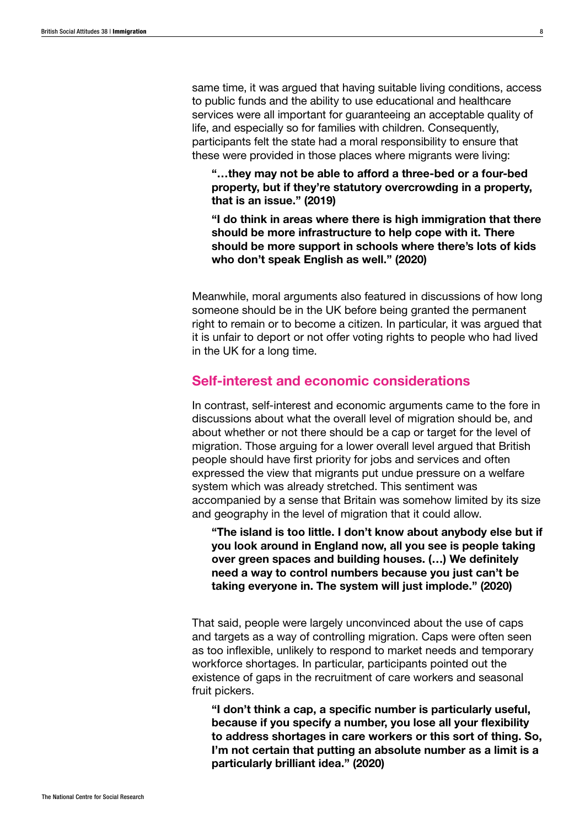same time, it was argued that having suitable living conditions, access to public funds and the ability to use educational and healthcare services were all important for guaranteeing an acceptable quality of life, and especially so for families with children. Consequently, participants felt the state had a moral responsibility to ensure that these were provided in those places where migrants were living:

"…they may not be able to afford a three-bed or a four-bed property, but if they're statutory overcrowding in a property, that is an issue." (2019)

"I do think in areas where there is high immigration that there should be more infrastructure to help cope with it. There should be more support in schools where there's lots of kids who don't speak English as well." (2020)

Meanwhile, moral arguments also featured in discussions of how long someone should be in the UK before being granted the permanent right to remain or to become a citizen. In particular, it was argued that it is unfair to deport or not offer voting rights to people who had lived in the UK for a long time.

## Self-interest and economic considerations

In contrast, self-interest and economic arguments came to the fore in discussions about what the overall level of migration should be, and about whether or not there should be a cap or target for the level of migration. Those arguing for a lower overall level argued that British people should have first priority for jobs and services and often expressed the view that migrants put undue pressure on a welfare system which was already stretched. This sentiment was accompanied by a sense that Britain was somehow limited by its size and geography in the level of migration that it could allow.

"The island is too little. I don't know about anybody else but if you look around in England now, all you see is people taking over green spaces and building houses. (…) We definitely need a way to control numbers because you just can't be taking everyone in. The system will just implode." (2020)

That said, people were largely unconvinced about the use of caps and targets as a way of controlling migration. Caps were often seen as too inflexible, unlikely to respond to market needs and temporary workforce shortages. In particular, participants pointed out the existence of gaps in the recruitment of care workers and seasonal fruit pickers.

"I don't think a cap, a specific number is particularly useful, because if you specify a number, you lose all your flexibility to address shortages in care workers or this sort of thing. So, I'm not certain that putting an absolute number as a limit is a particularly brilliant idea." (2020)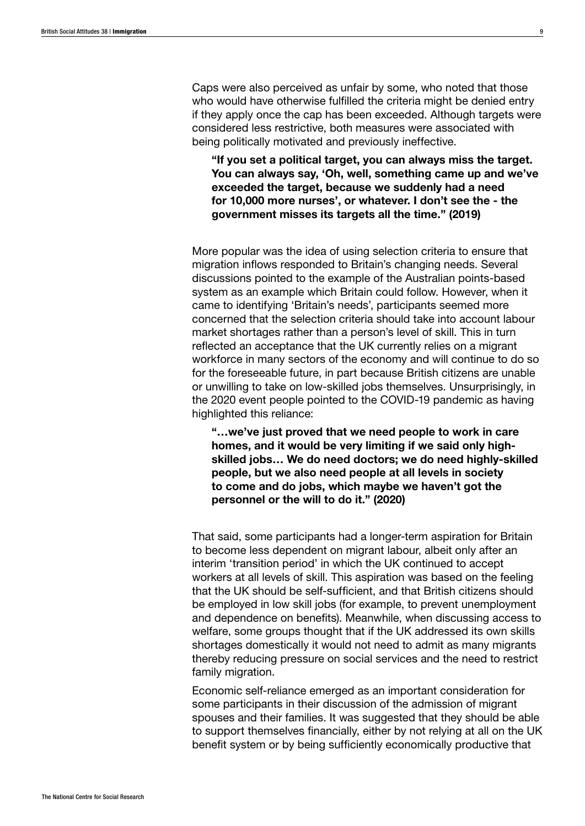Caps were also perceived as unfair by some, who noted that those who would have otherwise fulfilled the criteria might be denied entry if they apply once the cap has been exceeded. Although targets were considered less restrictive, both measures were associated with being politically motivated and previously ineffective.

"If you set a political target, you can always miss the target. You can always say, 'Oh, well, something came up and we've exceeded the target, because we suddenly had a need for 10,000 more nurses', or whatever. I don't see the - the government misses its targets all the time." (2019)

More popular was the idea of using selection criteria to ensure that migration inflows responded to Britain's changing needs. Several discussions pointed to the example of the Australian points-based system as an example which Britain could follow. However, when it came to identifying 'Britain's needs', participants seemed more concerned that the selection criteria should take into account labour market shortages rather than a person's level of skill. This in turn reflected an acceptance that the UK currently relies on a migrant workforce in many sectors of the economy and will continue to do so for the foreseeable future, in part because British citizens are unable or unwilling to take on low-skilled jobs themselves. Unsurprisingly, in the 2020 event people pointed to the COVID-19 pandemic as having highlighted this reliance:

"…we've just proved that we need people to work in care homes, and it would be very limiting if we said only highskilled jobs… We do need doctors; we do need highly-skilled people, but we also need people at all levels in society to come and do jobs, which maybe we haven't got the personnel or the will to do it." (2020)

That said, some participants had a longer-term aspiration for Britain to become less dependent on migrant labour, albeit only after an interim 'transition period' in which the UK continued to accept workers at all levels of skill. This aspiration was based on the feeling that the UK should be self-sufficient, and that British citizens should be employed in low skill jobs (for example, to prevent unemployment and dependence on benefits). Meanwhile, when discussing access to welfare, some groups thought that if the UK addressed its own skills shortages domestically it would not need to admit as many migrants thereby reducing pressure on social services and the need to restrict family migration.

Economic self-reliance emerged as an important consideration for some participants in their discussion of the admission of migrant spouses and their families. It was suggested that they should be able to support themselves financially, either by not relying at all on the UK benefit system or by being sufficiently economically productive that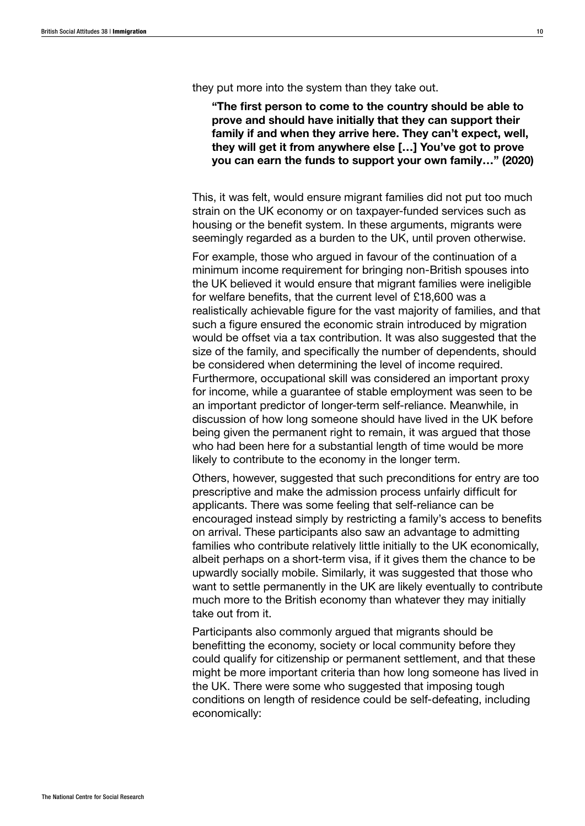they put more into the system than they take out.

"The first person to come to the country should be able to prove and should have initially that they can support their family if and when they arrive here. They can't expect, well, they will get it from anywhere else […] You've got to prove you can earn the funds to support your own family…" (2020)

This, it was felt, would ensure migrant families did not put too much strain on the UK economy or on taxpayer-funded services such as housing or the benefit system. In these arguments, migrants were seemingly regarded as a burden to the UK, until proven otherwise.

For example, those who argued in favour of the continuation of a minimum income requirement for bringing non-British spouses into the UK believed it would ensure that migrant families were ineligible for welfare benefits, that the current level of £18,600 was a realistically achievable figure for the vast majority of families, and that such a figure ensured the economic strain introduced by migration would be offset via a tax contribution. It was also suggested that the size of the family, and specifically the number of dependents, should be considered when determining the level of income required. Furthermore, occupational skill was considered an important proxy for income, while a guarantee of stable employment was seen to be an important predictor of longer-term self-reliance. Meanwhile, in discussion of how long someone should have lived in the UK before being given the permanent right to remain, it was argued that those who had been here for a substantial length of time would be more likely to contribute to the economy in the longer term.

Others, however, suggested that such preconditions for entry are too prescriptive and make the admission process unfairly difficult for applicants. There was some feeling that self-reliance can be encouraged instead simply by restricting a family's access to benefits on arrival. These participants also saw an advantage to admitting families who contribute relatively little initially to the UK economically, albeit perhaps on a short-term visa, if it gives them the chance to be upwardly socially mobile. Similarly, it was suggested that those who want to settle permanently in the UK are likely eventually to contribute much more to the British economy than whatever they may initially take out from it.

Participants also commonly argued that migrants should be benefitting the economy, society or local community before they could qualify for citizenship or permanent settlement, and that these might be more important criteria than how long someone has lived in the UK. There were some who suggested that imposing tough conditions on length of residence could be self-defeating, including economically: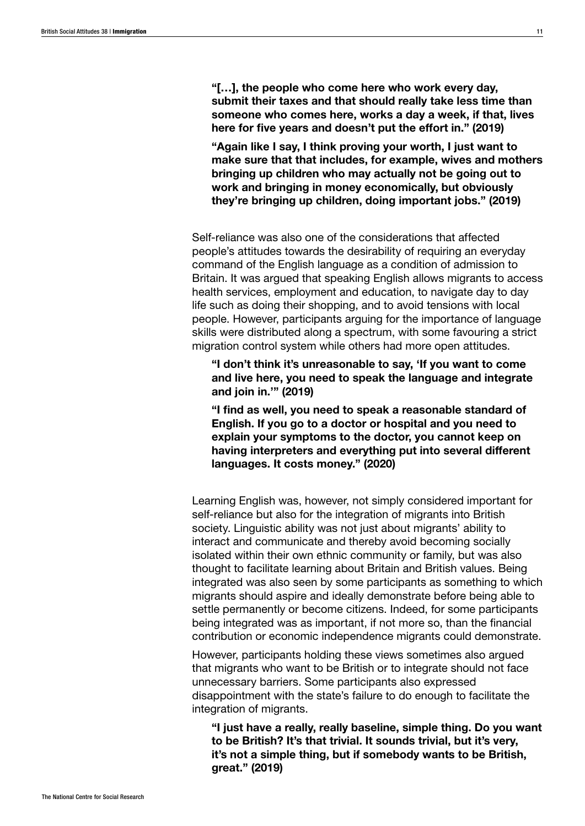"[…], the people who come here who work every day, submit their taxes and that should really take less time than someone who comes here, works a day a week, if that, lives here for five years and doesn't put the effort in." (2019)

"Again like I say, I think proving your worth, I just want to make sure that that includes, for example, wives and mothers bringing up children who may actually not be going out to work and bringing in money economically, but obviously they're bringing up children, doing important jobs." (2019)

Self-reliance was also one of the considerations that affected people's attitudes towards the desirability of requiring an everyday command of the English language as a condition of admission to Britain. It was argued that speaking English allows migrants to access health services, employment and education, to navigate day to day life such as doing their shopping, and to avoid tensions with local people. However, participants arguing for the importance of language skills were distributed along a spectrum, with some favouring a strict migration control system while others had more open attitudes.

"I don't think it's unreasonable to say, 'If you want to come and live here, you need to speak the language and integrate and join in.'" (2019)

"I find as well, you need to speak a reasonable standard of English. If you go to a doctor or hospital and you need to explain your symptoms to the doctor, you cannot keep on having interpreters and everything put into several different languages. It costs money." (2020)

Learning English was, however, not simply considered important for self-reliance but also for the integration of migrants into British society. Linguistic ability was not just about migrants' ability to interact and communicate and thereby avoid becoming socially isolated within their own ethnic community or family, but was also thought to facilitate learning about Britain and British values. Being integrated was also seen by some participants as something to which migrants should aspire and ideally demonstrate before being able to settle permanently or become citizens. Indeed, for some participants being integrated was as important, if not more so, than the financial contribution or economic independence migrants could demonstrate.

However, participants holding these views sometimes also argued that migrants who want to be British or to integrate should not face unnecessary barriers. Some participants also expressed disappointment with the state's failure to do enough to facilitate the integration of migrants.

"I just have a really, really baseline, simple thing. Do you want to be British? It's that trivial. It sounds trivial, but it's very, it's not a simple thing, but if somebody wants to be British, great." (2019)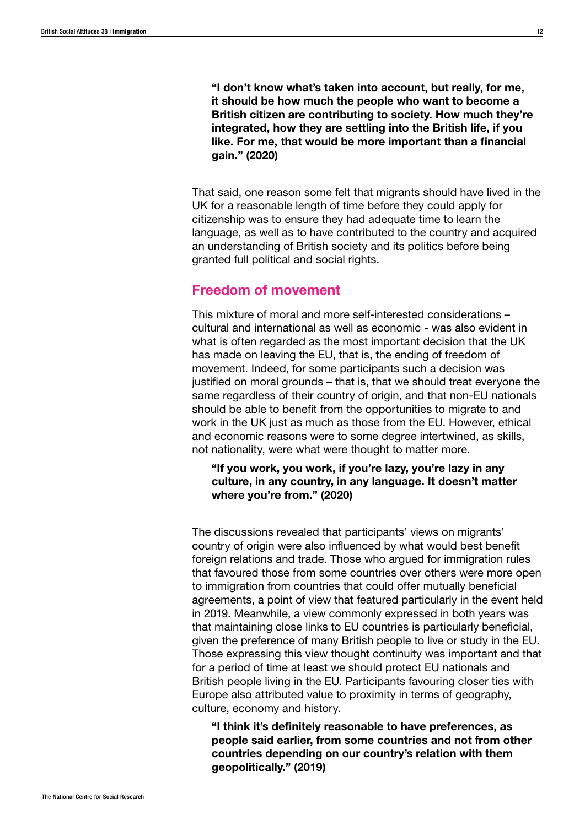"I don't know what's taken into account, but really, for me, it should be how much the people who want to become a British citizen are contributing to society. How much they're integrated, how they are settling into the British life, if you like. For me, that would be more important than a financial gain." (2020)

That said, one reason some felt that migrants should have lived in the UK for a reasonable length of time before they could apply for citizenship was to ensure they had adequate time to learn the language, as well as to have contributed to the country and acquired an understanding of British society and its politics before being granted full political and social rights.

## Freedom of movement

This mixture of moral and more self-interested considerations – cultural and international as well as economic - was also evident in what is often regarded as the most important decision that the UK has made on leaving the EU, that is, the ending of freedom of movement. Indeed, for some participants such a decision was justified on moral grounds – that is, that we should treat everyone the same regardless of their country of origin, and that non-EU nationals should be able to benefit from the opportunities to migrate to and work in the UK just as much as those from the EU. However, ethical and economic reasons were to some degree intertwined, as skills, not nationality, were what were thought to matter more.

"If you work, you work, if you're lazy, you're lazy in any culture, in any country, in any language. It doesn't matter where you're from." (2020)

The discussions revealed that participants' views on migrants' country of origin were also influenced by what would best benefit foreign relations and trade. Those who argued for immigration rules that favoured those from some countries over others were more open to immigration from countries that could offer mutually beneficial agreements, a point of view that featured particularly in the event held in 2019. Meanwhile, a view commonly expressed in both years was that maintaining close links to EU countries is particularly beneficial, given the preference of many British people to live or study in the EU. Those expressing this view thought continuity was important and that for a period of time at least we should protect EU nationals and British people living in the EU. Participants favouring closer ties with Europe also attributed value to proximity in terms of geography, culture, economy and history.

"I think it's definitely reasonable to have preferences, as people said earlier, from some countries and not from other countries depending on our country's relation with them geopolitically." (2019)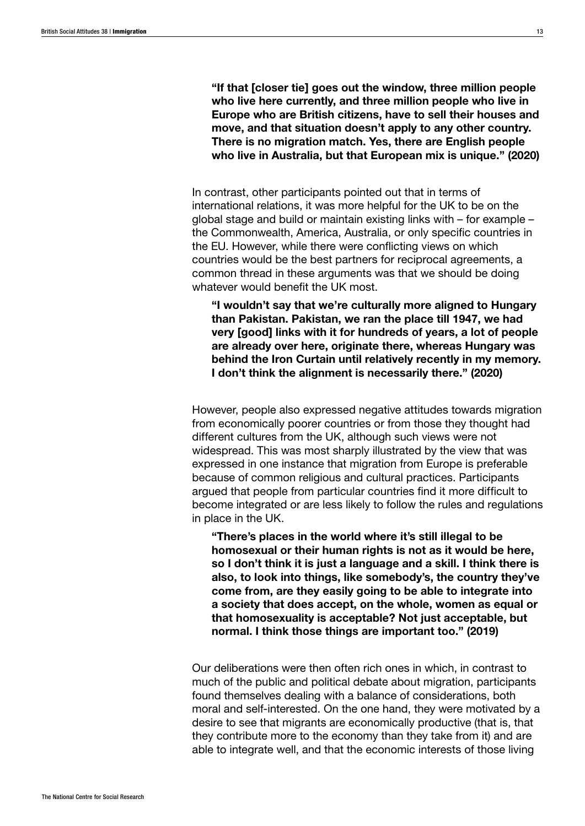"If that [closer tie] goes out the window, three million people who live here currently, and three million people who live in Europe who are British citizens, have to sell their houses and move, and that situation doesn't apply to any other country. There is no migration match. Yes, there are English people who live in Australia, but that European mix is unique." (2020)

In contrast, other participants pointed out that in terms of international relations, it was more helpful for the UK to be on the global stage and build or maintain existing links with – for example – the Commonwealth, America, Australia, or only specific countries in the EU. However, while there were conflicting views on which countries would be the best partners for reciprocal agreements, a common thread in these arguments was that we should be doing whatever would benefit the UK most.

"I wouldn't say that we're culturally more aligned to Hungary than Pakistan. Pakistan, we ran the place till 1947, we had very [good] links with it for hundreds of years, a lot of people are already over here, originate there, whereas Hungary was behind the Iron Curtain until relatively recently in my memory. I don't think the alignment is necessarily there." (2020)

However, people also expressed negative attitudes towards migration from economically poorer countries or from those they thought had different cultures from the UK, although such views were not widespread. This was most sharply illustrated by the view that was expressed in one instance that migration from Europe is preferable because of common religious and cultural practices. Participants argued that people from particular countries find it more difficult to become integrated or are less likely to follow the rules and regulations in place in the UK.

"There's places in the world where it's still illegal to be homosexual or their human rights is not as it would be here, so I don't think it is just a language and a skill. I think there is also, to look into things, like somebody's, the country they've come from, are they easily going to be able to integrate into a society that does accept, on the whole, women as equal or that homosexuality is acceptable? Not just acceptable, but normal. I think those things are important too." (2019)

Our deliberations were then often rich ones in which, in contrast to much of the public and political debate about migration, participants found themselves dealing with a balance of considerations, both moral and self-interested. On the one hand, they were motivated by a desire to see that migrants are economically productive (that is, that they contribute more to the economy than they take from it) and are able to integrate well, and that the economic interests of those living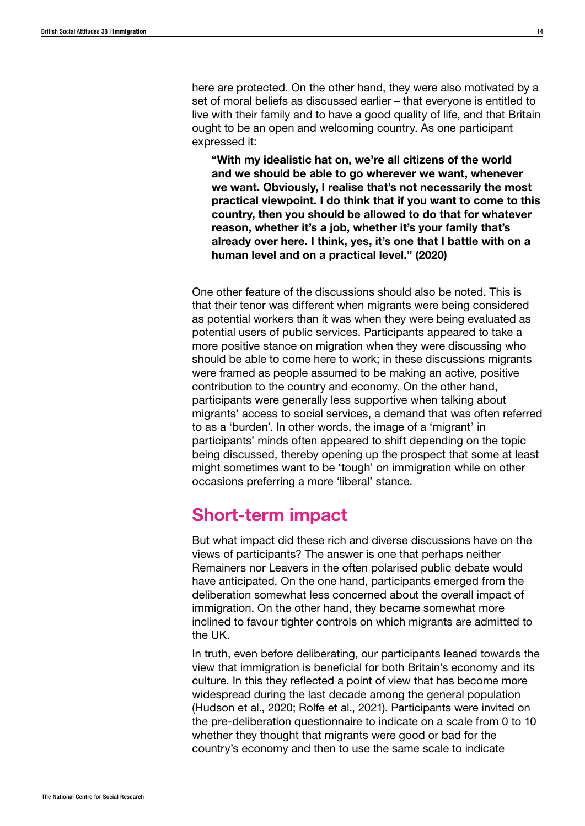here are protected. On the other hand, they were also motivated by a set of moral beliefs as discussed earlier – that everyone is entitled to live with their family and to have a good quality of life, and that Britain ought to be an open and welcoming country. As one participant expressed it:

"With my idealistic hat on, we're all citizens of the world and we should be able to go wherever we want, whenever we want. Obviously, I realise that's not necessarily the most practical viewpoint. I do think that if you want to come to this country, then you should be allowed to do that for whatever reason, whether it's a job, whether it's your family that's already over here. I think, yes, it's one that I battle with on a human level and on a practical level." (2020)

One other feature of the discussions should also be noted. This is that their tenor was different when migrants were being considered as potential workers than it was when they were being evaluated as potential users of public services. Participants appeared to take a more positive stance on migration when they were discussing who should be able to come here to work; in these discussions migrants were framed as people assumed to be making an active, positive contribution to the country and economy. On the other hand, participants were generally less supportive when talking about migrants' access to social services, a demand that was often referred to as a 'burden'. In other words, the image of a 'migrant' in participants' minds often appeared to shift depending on the topic being discussed, thereby opening up the prospect that some at least might sometimes want to be 'tough' on immigration while on other occasions preferring a more 'liberal' stance.

# Short-term impact

But what impact did these rich and diverse discussions have on the views of participants? The answer is one that perhaps neither Remainers nor Leavers in the often polarised public debate would have anticipated. On the one hand, participants emerged from the deliberation somewhat less concerned about the overall impact of immigration. On the other hand, they became somewhat more inclined to favour tighter controls on which migrants are admitted to the UK.

In truth, even before deliberating, our participants leaned towards the view that immigration is beneficial for both Britain's economy and its culture. In this they reflected a point of view that has become more widespread during the last decade among the general population (Hudson et al., 2020; Rolfe et al., 2021). Participants were invited on the pre-deliberation questionnaire to indicate on a scale from 0 to 10 whether they thought that migrants were good or bad for the country's economy and then to use the same scale to indicate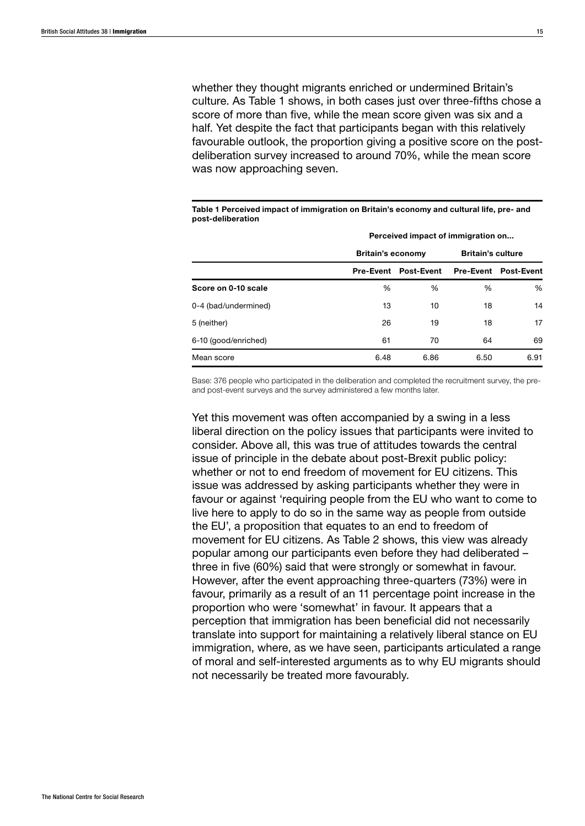whether they thought migrants enriched or undermined Britain's culture. As Table 1 shows, in both cases just over three-fifths chose a score of more than five, while the mean score given was six and a half. Yet despite the fact that participants began with this relatively favourable outlook, the proportion giving a positive score on the postdeliberation survey increased to around 70%, while the mean score was now approaching seven.

Table 1 Perceived impact of immigration on Britain's economy and cultural life, pre- and post-deliberation

|                      | Perceived impact of immigration on |                             |                  |                   |  |
|----------------------|------------------------------------|-----------------------------|------------------|-------------------|--|
|                      | <b>Britain's economy</b>           | <b>Britain's culture</b>    |                  |                   |  |
|                      |                                    | <b>Pre-Event Post-Event</b> | <b>Pre-Event</b> | <b>Post-Event</b> |  |
| Score on 0-10 scale  | %                                  | %                           | %                | %                 |  |
| 0-4 (bad/undermined) | 13                                 | 10                          | 18               | 14                |  |
| 5 (neither)          | 26                                 | 19                          | 18               | 17                |  |
| 6-10 (good/enriched) | 61                                 | 70                          | 64               | 69                |  |
| Mean score           | 6.48                               | 6.86                        | 6.50             | 6.91              |  |

Base: 376 people who participated in the deliberation and completed the recruitment survey, the preand post-event surveys and the survey administered a few months later.

Yet this movement was often accompanied by a swing in a less liberal direction on the policy issues that participants were invited to consider. Above all, this was true of attitudes towards the central issue of principle in the debate about post-Brexit public policy: whether or not to end freedom of movement for EU citizens. This issue was addressed by asking participants whether they were in favour or against 'requiring people from the EU who want to come to live here to apply to do so in the same way as people from outside the EU', a proposition that equates to an end to freedom of movement for EU citizens. As Table 2 shows, this view was already popular among our participants even before they had deliberated – three in five (60%) said that were strongly or somewhat in favour. However, after the event approaching three-quarters (73%) were in favour, primarily as a result of an 11 percentage point increase in the proportion who were 'somewhat' in favour. It appears that a perception that immigration has been beneficial did not necessarily translate into support for maintaining a relatively liberal stance on EU immigration, where, as we have seen, participants articulated a range of moral and self-interested arguments as to why EU migrants should not necessarily be treated more favourably.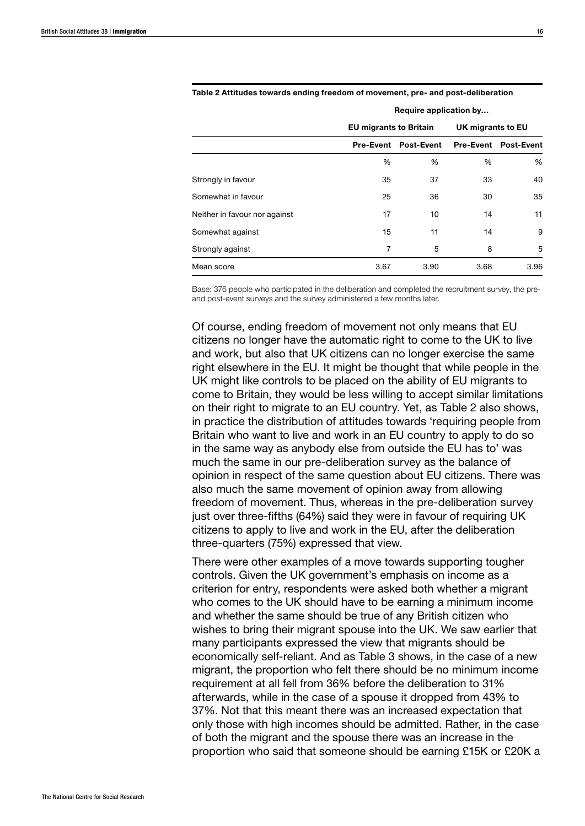|                               | Require application by        |                                |                   |                                       |  |
|-------------------------------|-------------------------------|--------------------------------|-------------------|---------------------------------------|--|
|                               | <b>EU migrants to Britain</b> |                                | UK migrants to EU |                                       |  |
|                               |                               | <b>Post-Event</b><br>Pre-Event |                   | <b>Pre-Event</b><br><b>Post-Event</b> |  |
|                               | %                             | %                              | %                 | %                                     |  |
| Strongly in favour            | 35                            | 37                             | 33                | 40                                    |  |
| Somewhat in favour            | 25                            | 36                             | 30                | 35                                    |  |
| Neither in favour nor against | 17                            | 10                             | 14                | 11                                    |  |
| Somewhat against              | 15                            | 11                             | 14                | 9                                     |  |
| Strongly against              | 7                             | 5                              | 8                 | 5                                     |  |
| Mean score                    | 3.67                          | 3.90                           | 3.68              | 3.96                                  |  |

#### Table 2 Attitudes towards ending freedom of movement, pre- and post-deliberation

Base: 376 people who participated in the deliberation and completed the recruitment survey, the preand post-event surveys and the survey administered a few months later.

Of course, ending freedom of movement not only means that EU citizens no longer have the automatic right to come to the UK to live and work, but also that UK citizens can no longer exercise the same right elsewhere in the EU. It might be thought that while people in the UK might like controls to be placed on the ability of EU migrants to come to Britain, they would be less willing to accept similar limitations on their right to migrate to an EU country. Yet, as Table 2 also shows, in practice the distribution of attitudes towards 'requiring people from Britain who want to live and work in an EU country to apply to do so in the same way as anybody else from outside the EU has to' was much the same in our pre-deliberation survey as the balance of opinion in respect of the same question about EU citizens. There was also much the same movement of opinion away from allowing freedom of movement. Thus, whereas in the pre-deliberation survey just over three-fifths (64%) said they were in favour of requiring UK citizens to apply to live and work in the EU, after the deliberation three-quarters (75%) expressed that view.

There were other examples of a move towards supporting tougher controls. Given the UK government's emphasis on income as a criterion for entry, respondents were asked both whether a migrant who comes to the UK should have to be earning a minimum income and whether the same should be true of any British citizen who wishes to bring their migrant spouse into the UK. We saw earlier that many participants expressed the view that migrants should be economically self-reliant. And as Table 3 shows, in the case of a new migrant, the proportion who felt there should be no minimum income requirement at all fell from 36% before the deliberation to 31% afterwards, while in the case of a spouse it dropped from 43% to 37%. Not that this meant there was an increased expectation that only those with high incomes should be admitted. Rather, in the case of both the migrant and the spouse there was an increase in the proportion who said that someone should be earning £15K or £20K a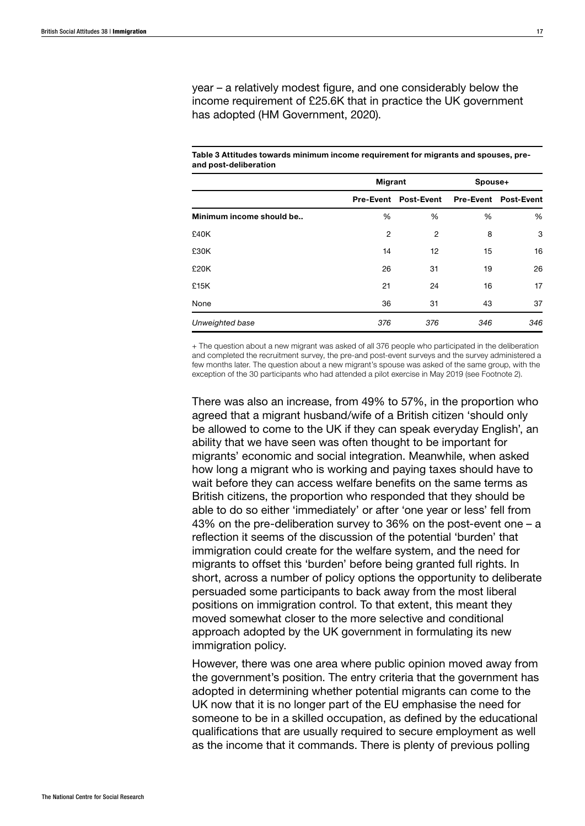year – a relatively modest figure, and one considerably below the income requirement of £25.6K that in practice the UK government has adopted (HM Government, 2020).

Table 3 Attitudes towards minimum income requirement for migrants and spouses, preand post-deliberation

|                          | Migrant |                             | Spouse+ |                             |  |
|--------------------------|---------|-----------------------------|---------|-----------------------------|--|
|                          |         | <b>Pre-Event Post-Event</b> |         | <b>Pre-Event Post-Event</b> |  |
| Minimum income should be | %       | %                           | %       | %                           |  |
| £40K                     | 2       | 2                           | 8       | 3                           |  |
| £30K                     | 14      | 12 <sup>2</sup>             | 15      | 16                          |  |
| £20K                     | 26      | 31                          | 19      | 26                          |  |
| £15K                     | 21      | 24                          | 16      | 17                          |  |
| None                     | 36      | 31                          | 43      | 37                          |  |
| Unweighted base          | 376     | 376                         | 346     | 346                         |  |

+ The question about a new migrant was asked of all 376 people who participated in the deliberation and completed the recruitment survey, the pre-and post-event surveys and the survey administered a few months later. The question about a new migrant's spouse was asked of the same group, with the exception of the 30 participants who had attended a pilot exercise in May 2019 (see Footnote 2).

There was also an increase, from 49% to 57%, in the proportion who agreed that a migrant husband/wife of a British citizen 'should only be allowed to come to the UK if they can speak everyday English', an ability that we have seen was often thought to be important for migrants' economic and social integration. Meanwhile, when asked how long a migrant who is working and paying taxes should have to wait before they can access welfare benefits on the same terms as British citizens, the proportion who responded that they should be able to do so either 'immediately' or after 'one year or less' fell from 43% on the pre-deliberation survey to 36% on the post-event one – a reflection it seems of the discussion of the potential 'burden' that immigration could create for the welfare system, and the need for migrants to offset this 'burden' before being granted full rights. In short, across a number of policy options the opportunity to deliberate persuaded some participants to back away from the most liberal positions on immigration control. To that extent, this meant they moved somewhat closer to the more selective and conditional approach adopted by the UK government in formulating its new immigration policy.

However, there was one area where public opinion moved away from the government's position. The entry criteria that the government has adopted in determining whether potential migrants can come to the UK now that it is no longer part of the EU emphasise the need for someone to be in a skilled occupation, as defined by the educational qualifications that are usually required to secure employment as well as the income that it commands. There is plenty of previous polling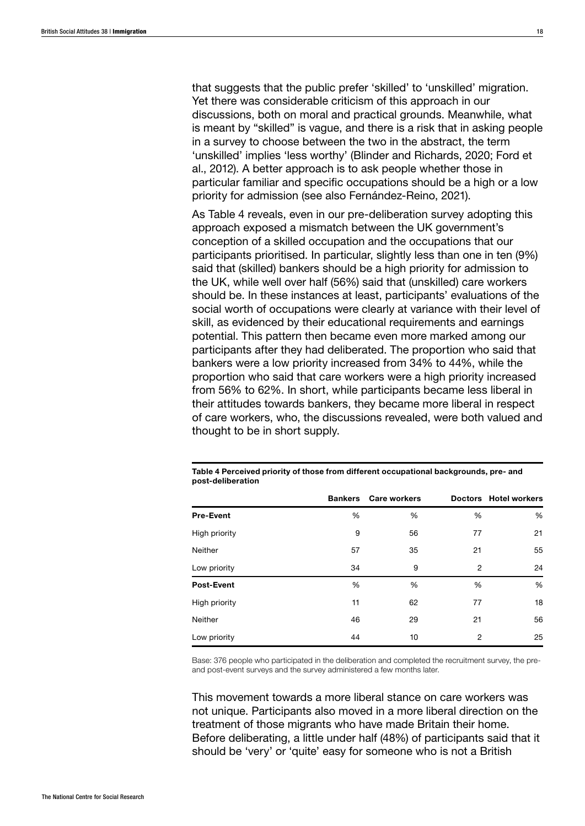that suggests that the public prefer 'skilled' to 'unskilled' migration. Yet there was considerable criticism of this approach in our discussions, both on moral and practical grounds. Meanwhile, what is meant by "skilled" is vague, and there is a risk that in asking people in a survey to choose between the two in the abstract, the term 'unskilled' implies 'less worthy' (Blinder and Richards, 2020; Ford et al., 2012). A better approach is to ask people whether those in particular familiar and specific occupations should be a high or a low priority for admission (see also Fernández-Reino, 2021).

As Table 4 reveals, even in our pre-deliberation survey adopting this approach exposed a mismatch between the UK government's conception of a skilled occupation and the occupations that our participants prioritised. In particular, slightly less than one in ten (9%) said that (skilled) bankers should be a high priority for admission to the UK, while well over half (56%) said that (unskilled) care workers should be. In these instances at least, participants' evaluations of the social worth of occupations were clearly at variance with their level of skill, as evidenced by their educational requirements and earnings potential. This pattern then became even more marked among our participants after they had deliberated. The proportion who said that bankers were a low priority increased from 34% to 44%, while the proportion who said that care workers were a high priority increased from 56% to 62%. In short, while participants became less liberal in their attitudes towards bankers, they became more liberal in respect of care workers, who, the discussions revealed, were both valued and thought to be in short supply.

|                   | <b>Bankers</b> | <b>Care workers</b> |    | Doctors Hotel workers |
|-------------------|----------------|---------------------|----|-----------------------|
| <b>Pre-Event</b>  | %              | %                   | %  | %                     |
| High priority     | 9              | 56                  | 77 | 21                    |
| <b>Neither</b>    | 57             | 35                  | 21 | 55                    |
| Low priority      | 34             | 9                   | 2  | 24                    |
| <b>Post-Event</b> | %              | %                   | %  | %                     |
| High priority     | 11             | 62                  | 77 | 18                    |
| Neither           | 46             | 29                  | 21 | 56                    |
| Low priority      | 44             | 10                  | 2  | 25                    |

Table 4 Perceived priority of those from different occupational backgrounds, pre- and post-deliberation

Base: 376 people who participated in the deliberation and completed the recruitment survey, the preand post-event surveys and the survey administered a few months later.

This movement towards a more liberal stance on care workers was not unique. Participants also moved in a more liberal direction on the treatment of those migrants who have made Britain their home. Before deliberating, a little under half (48%) of participants said that it should be 'very' or 'quite' easy for someone who is not a British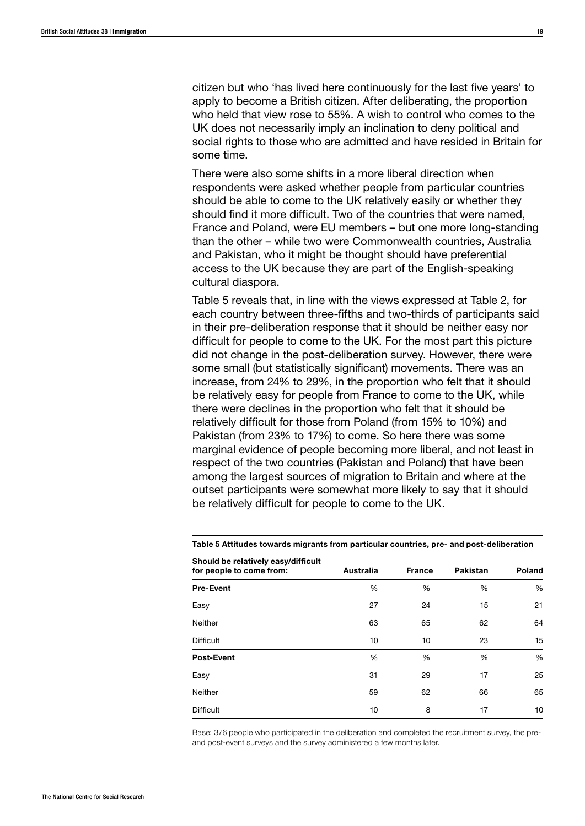citizen but who 'has lived here continuously for the last five years' to apply to become a British citizen. After deliberating, the proportion who held that view rose to 55%. A wish to control who comes to the UK does not necessarily imply an inclination to deny political and social rights to those who are admitted and have resided in Britain for some time.

There were also some shifts in a more liberal direction when respondents were asked whether people from particular countries should be able to come to the UK relatively easily or whether they should find it more difficult. Two of the countries that were named, France and Poland, were EU members – but one more long-standing than the other – while two were Commonwealth countries, Australia and Pakistan, who it might be thought should have preferential access to the UK because they are part of the English-speaking cultural diaspora.

Table 5 reveals that, in line with the views expressed at Table 2, for each country between three-fifths and two-thirds of participants said in their pre-deliberation response that it should be neither easy nor difficult for people to come to the UK. For the most part this picture did not change in the post-deliberation survey. However, there were some small (but statistically significant) movements. There was an increase, from 24% to 29%, in the proportion who felt that it should be relatively easy for people from France to come to the UK, while there were declines in the proportion who felt that it should be relatively difficult for those from Poland (from 15% to 10%) and Pakistan (from 23% to 17%) to come. So here there was some marginal evidence of people becoming more liberal, and not least in respect of the two countries (Pakistan and Poland) that have been among the largest sources of migration to Britain and where at the outset participants were somewhat more likely to say that it should be relatively difficult for people to come to the UK.

| $\frac{1}{2}$<br>for people to come from: | Australia | <b>France</b> | Pakistan | Poland |
|-------------------------------------------|-----------|---------------|----------|--------|
| <b>Pre-Event</b>                          | %         | %             | %        | %      |
| Easy                                      | 27        | 24            | 15       | 21     |
| Neither                                   | 63        | 65            | 62       | 64     |
| <b>Difficult</b>                          | 10        | 10            | 23       | 15     |
| <b>Post-Event</b>                         | %         | %             | %        | %      |
| Easy                                      | 31        | 29            | 17       | 25     |
| Neither                                   | 59        | 62            | 66       | 65     |
| <b>Difficult</b>                          | 10        | 8             | 17       | 10     |

Table 5 Attitudes towards migrants from particular countries, pre- and post-deliberation Should be relatively easy/difficult

Base: 376 people who participated in the deliberation and completed the recruitment survey, the preand post-event surveys and the survey administered a few months later.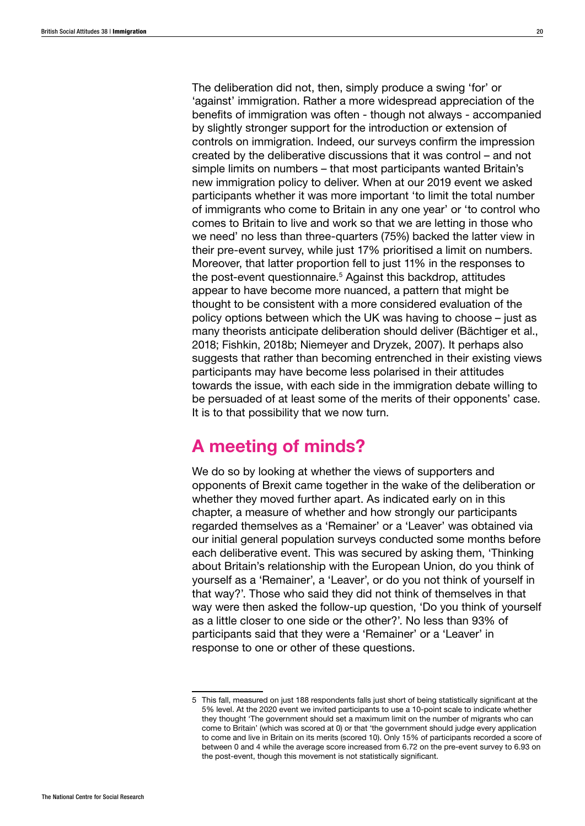The deliberation did not, then, simply produce a swing 'for' or 'against' immigration. Rather a more widespread appreciation of the benefits of immigration was often - though not always - accompanied by slightly stronger support for the introduction or extension of controls on immigration. Indeed, our surveys confirm the impression created by the deliberative discussions that it was control – and not simple limits on numbers – that most participants wanted Britain's new immigration policy to deliver. When at our 2019 event we asked participants whether it was more important 'to limit the total number of immigrants who come to Britain in any one year' or 'to control who comes to Britain to live and work so that we are letting in those who we need' no less than three-quarters (75%) backed the latter view in their pre-event survey, while just 17% prioritised a limit on numbers. Moreover, that latter proportion fell to just 11% in the responses to the post-event questionnaire.<sup>5</sup> Against this backdrop, attitudes appear to have become more nuanced, a pattern that might be thought to be consistent with a more considered evaluation of the policy options between which the UK was having to choose – just as many theorists anticipate deliberation should deliver (Bächtiger et al., 2018; Fishkin, 2018b; Niemeyer and Dryzek, 2007). It perhaps also suggests that rather than becoming entrenched in their existing views participants may have become less polarised in their attitudes towards the issue, with each side in the immigration debate willing to be persuaded of at least some of the merits of their opponents' case. It is to that possibility that we now turn.

# A meeting of minds?

We do so by looking at whether the views of supporters and opponents of Brexit came together in the wake of the deliberation or whether they moved further apart. As indicated early on in this chapter, a measure of whether and how strongly our participants regarded themselves as a 'Remainer' or a 'Leaver' was obtained via our initial general population surveys conducted some months before each deliberative event. This was secured by asking them, 'Thinking about Britain's relationship with the European Union, do you think of yourself as a 'Remainer', a 'Leaver', or do you not think of yourself in that way?'. Those who said they did not think of themselves in that way were then asked the follow-up question, 'Do you think of yourself as a little closer to one side or the other?'. No less than 93% of participants said that they were a 'Remainer' or a 'Leaver' in response to one or other of these questions.

<sup>5</sup> This fall, measured on just 188 respondents falls just short of being statistically significant at the 5% level. At the 2020 event we invited participants to use a 10-point scale to indicate whether they thought 'The government should set a maximum limit on the number of migrants who can come to Britain' (which was scored at 0) or that 'the government should judge every application to come and live in Britain on its merits (scored 10). Only 15% of participants recorded a score of between 0 and 4 while the average score increased from 6.72 on the pre-event survey to 6.93 on the post-event, though this movement is not statistically significant.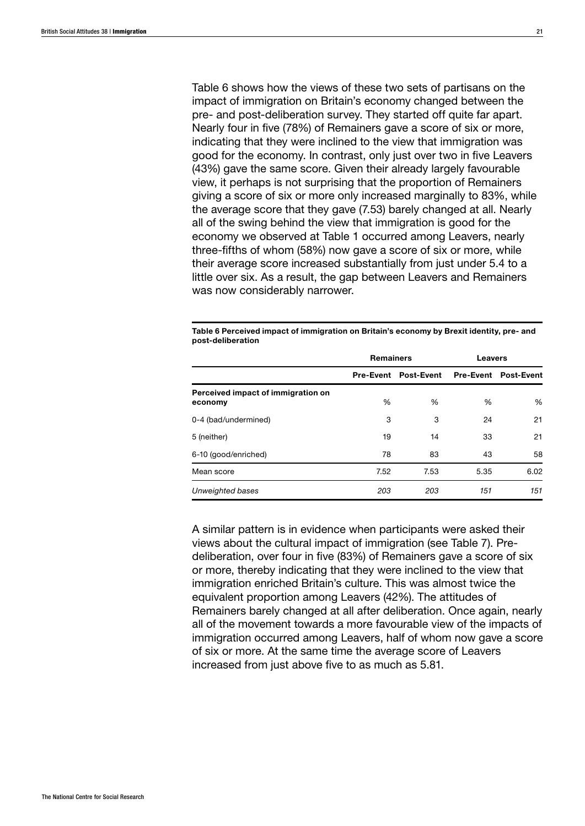Table 6 shows how the views of these two sets of partisans on the impact of immigration on Britain's economy changed between the pre- and post-deliberation survey. They started off quite far apart. Nearly four in five (78%) of Remainers gave a score of six or more, indicating that they were inclined to the view that immigration was good for the economy. In contrast, only just over two in five Leavers (43%) gave the same score. Given their already largely favourable view, it perhaps is not surprising that the proportion of Remainers giving a score of six or more only increased marginally to 83%, while the average score that they gave (7.53) barely changed at all. Nearly all of the swing behind the view that immigration is good for the economy we observed at Table 1 occurred among Leavers, nearly three-fifths of whom (58%) now gave a score of six or more, while their average score increased substantially from just under 5.4 to a little over six. As a result, the gap between Leavers and Remainers was now considerably narrower.

Table 6 Perceived impact of immigration on Britain's economy by Brexit identity, pre- and post-deliberation

|                                               | <b>Remainers</b> |                             | <b>Leavers</b> |                             |  |
|-----------------------------------------------|------------------|-----------------------------|----------------|-----------------------------|--|
|                                               |                  | <b>Pre-Event Post-Event</b> |                | <b>Pre-Event Post-Event</b> |  |
| Perceived impact of immigration on<br>economy | %                | %                           | %              | %                           |  |
| 0-4 (bad/undermined)                          | 3                | 3                           | 24             | 21                          |  |
| 5 (neither)                                   | 19               | 14                          | 33             | 21                          |  |
| 6-10 (good/enriched)                          | 78               | 83                          | 43             | 58                          |  |
| Mean score                                    | 7.52             | 7.53                        | 5.35           | 6.02                        |  |
| Unweighted bases                              | 203              | 203                         | 151            | 151                         |  |

A similar pattern is in evidence when participants were asked their views about the cultural impact of immigration (see Table 7). Predeliberation, over four in five (83%) of Remainers gave a score of six or more, thereby indicating that they were inclined to the view that immigration enriched Britain's culture. This was almost twice the equivalent proportion among Leavers (42%). The attitudes of Remainers barely changed at all after deliberation. Once again, nearly all of the movement towards a more favourable view of the impacts of immigration occurred among Leavers, half of whom now gave a score of six or more. At the same time the average score of Leavers increased from just above five to as much as 5.81.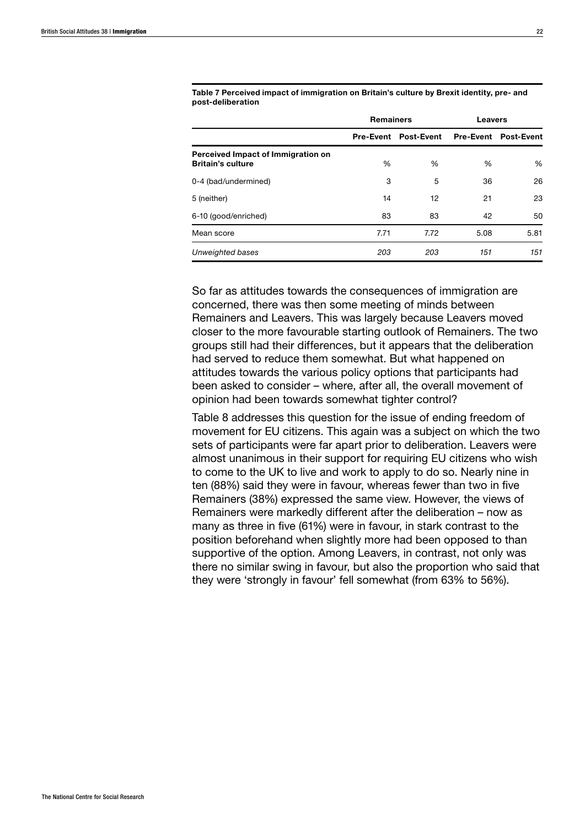|                                                                | <b>Remainers</b> |                             | <b>Leavers</b> |                             |  |
|----------------------------------------------------------------|------------------|-----------------------------|----------------|-----------------------------|--|
|                                                                |                  | <b>Pre-Event Post-Event</b> |                | <b>Pre-Event Post-Event</b> |  |
| Perceived Impact of Immigration on<br><b>Britain's culture</b> | %                | %                           | %              | %                           |  |
| 0-4 (bad/undermined)                                           | 3                | 5                           | 36             | 26                          |  |
| 5 (neither)                                                    | 14               | 12                          | 21             | 23                          |  |
| 6-10 (good/enriched)                                           | 83               | 83                          | 42             | 50                          |  |
| Mean score                                                     | 7.71             | 7.72                        | 5.08           | 5.81                        |  |
| Unweighted bases                                               | 203              | 203                         | 151            | 151                         |  |

Table 7 Perceived impact of immigration on Britain's culture by Brexit identity, pre- and post-deliberation

So far as attitudes towards the consequences of immigration are concerned, there was then some meeting of minds between Remainers and Leavers. This was largely because Leavers moved closer to the more favourable starting outlook of Remainers. The two groups still had their differences, but it appears that the deliberation had served to reduce them somewhat. But what happened on attitudes towards the various policy options that participants had been asked to consider – where, after all, the overall movement of opinion had been towards somewhat tighter control?

Table 8 addresses this question for the issue of ending freedom of movement for EU citizens. This again was a subject on which the two sets of participants were far apart prior to deliberation. Leavers were almost unanimous in their support for requiring EU citizens who wish to come to the UK to live and work to apply to do so. Nearly nine in ten (88%) said they were in favour, whereas fewer than two in five Remainers (38%) expressed the same view. However, the views of Remainers were markedly different after the deliberation – now as many as three in five (61%) were in favour, in stark contrast to the position beforehand when slightly more had been opposed to than supportive of the option. Among Leavers, in contrast, not only was there no similar swing in favour, but also the proportion who said that they were 'strongly in favour' fell somewhat (from 63% to 56%).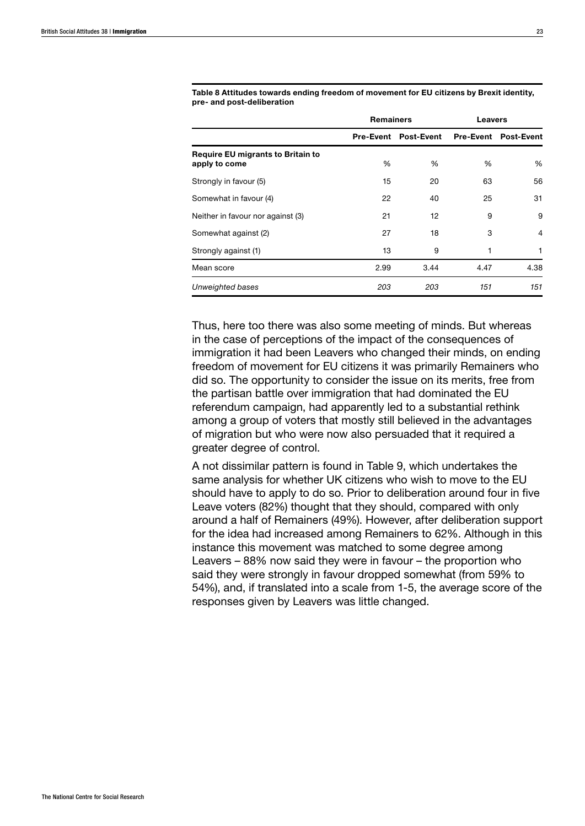|                                                           | <b>Remainers</b> |                             |      | <b>Leavers</b>              |  |  |
|-----------------------------------------------------------|------------------|-----------------------------|------|-----------------------------|--|--|
|                                                           |                  | <b>Pre-Event Post-Event</b> |      | <b>Pre-Event Post-Event</b> |  |  |
| <b>Require EU migrants to Britain to</b><br>apply to come | %                | %                           | %    | %                           |  |  |
| Strongly in favour (5)                                    | 15               | 20                          | 63   | 56                          |  |  |
| Somewhat in favour (4)                                    | 22               | 40                          | 25   | 31                          |  |  |
| Neither in favour nor against (3)                         | 21               | 12                          | 9    | 9                           |  |  |
| Somewhat against (2)                                      | 27               | 18                          | 3    | 4                           |  |  |
| Strongly against (1)                                      | 13               | 9                           |      |                             |  |  |
| Mean score                                                | 2.99             | 3.44                        | 4.47 | 4.38                        |  |  |
| Unweighted bases                                          | 203              | 203                         | 151  | 151                         |  |  |

Table 8 Attitudes towards ending freedom of movement for EU citizens by Brexit identity, pre- and post-deliberation

Thus, here too there was also some meeting of minds. But whereas in the case of perceptions of the impact of the consequences of immigration it had been Leavers who changed their minds, on ending freedom of movement for EU citizens it was primarily Remainers who did so. The opportunity to consider the issue on its merits, free from the partisan battle over immigration that had dominated the EU referendum campaign, had apparently led to a substantial rethink among a group of voters that mostly still believed in the advantages of migration but who were now also persuaded that it required a greater degree of control.

A not dissimilar pattern is found in Table 9, which undertakes the same analysis for whether UK citizens who wish to move to the EU should have to apply to do so. Prior to deliberation around four in five Leave voters (82%) thought that they should, compared with only around a half of Remainers (49%). However, after deliberation support for the idea had increased among Remainers to 62%. Although in this instance this movement was matched to some degree among Leavers – 88% now said they were in favour – the proportion who said they were strongly in favour dropped somewhat (from 59% to 54%), and, if translated into a scale from 1-5, the average score of the responses given by Leavers was little changed.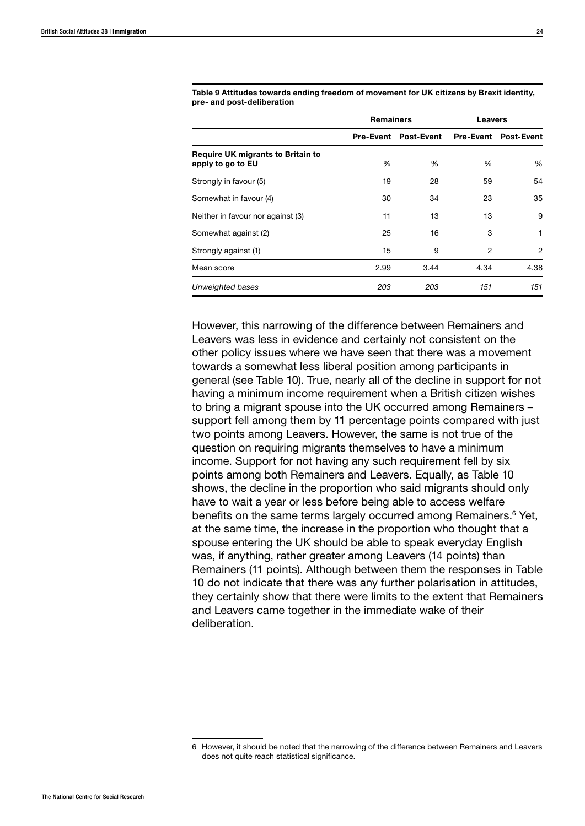|                                                               | <b>Remainers</b> |                                           | <b>Leavers</b> |      |  |
|---------------------------------------------------------------|------------------|-------------------------------------------|----------------|------|--|
|                                                               |                  | Pre-Event Post-Event Pre-Event Post-Event |                |      |  |
| <b>Require UK migrants to Britain to</b><br>apply to go to EU | %                | %                                         | %              | %    |  |
| Strongly in favour (5)                                        | 19               | 28                                        | 59             | 54   |  |
| Somewhat in favour (4)                                        | 30               | 34                                        | 23             | 35   |  |
| Neither in favour nor against (3)                             | 11               | 13                                        | 13             | 9    |  |
| Somewhat against (2)                                          | 25               | 16                                        | 3              | 1    |  |
| Strongly against (1)                                          | 15               | 9                                         | 2              | 2    |  |
| Mean score                                                    | 2.99             | 3.44                                      | 4.34           | 4.38 |  |
| Unweighted bases                                              | 203              | 203                                       | 151            | 151  |  |

Table 9 Attitudes towards ending freedom of movement for UK citizens by Brexit identity, pre- and post-deliberation

However, this narrowing of the difference between Remainers and Leavers was less in evidence and certainly not consistent on the other policy issues where we have seen that there was a movement towards a somewhat less liberal position among participants in general (see Table 10). True, nearly all of the decline in support for not having a minimum income requirement when a British citizen wishes to bring a migrant spouse into the UK occurred among Remainers – support fell among them by 11 percentage points compared with just two points among Leavers. However, the same is not true of the question on requiring migrants themselves to have a minimum income. Support for not having any such requirement fell by six points among both Remainers and Leavers. Equally, as Table 10 shows, the decline in the proportion who said migrants should only have to wait a year or less before being able to access welfare benefits on the same terms largely occurred among Remainers.<sup>6</sup> Yet, at the same time, the increase in the proportion who thought that a spouse entering the UK should be able to speak everyday English was, if anything, rather greater among Leavers (14 points) than Remainers (11 points). Although between them the responses in Table 10 do not indicate that there was any further polarisation in attitudes, they certainly show that there were limits to the extent that Remainers and Leavers came together in the immediate wake of their deliberation.

<sup>6</sup> However, it should be noted that the narrowing of the difference between Remainers and Leavers does not quite reach statistical significance.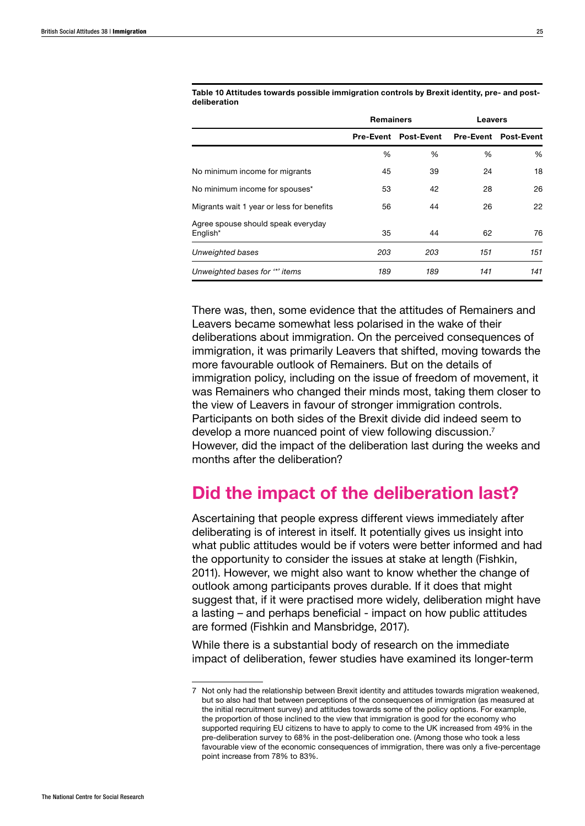|                                                | <b>Remainers</b> |                             | <b>Leavers</b> |                             |  |
|------------------------------------------------|------------------|-----------------------------|----------------|-----------------------------|--|
|                                                |                  | <b>Pre-Event Post-Event</b> |                | <b>Pre-Event Post-Event</b> |  |
|                                                | %                | %                           | %              | %                           |  |
| No minimum income for migrants                 | 45               | 39                          | 24             | 18                          |  |
| No minimum income for spouses*                 | 53               | 42                          | 28             | 26                          |  |
| Migrants wait 1 year or less for benefits      | 56               | 44                          | 26             | 22                          |  |
| Agree spouse should speak everyday<br>English* | 35               | 44                          | 62             | 76                          |  |
| Unweighted bases                               | 203              | 203                         | 151            | 151                         |  |
| Unweighted bases for "*' items                 | 189              | 189                         | 141            | 141                         |  |

Table 10 Attitudes towards possible immigration controls by Brexit identity, pre- and postdeliberation

There was, then, some evidence that the attitudes of Remainers and Leavers became somewhat less polarised in the wake of their deliberations about immigration. On the perceived consequences of immigration, it was primarily Leavers that shifted, moving towards the more favourable outlook of Remainers. But on the details of immigration policy, including on the issue of freedom of movement, it was Remainers who changed their minds most, taking them closer to the view of Leavers in favour of stronger immigration controls. Participants on both sides of the Brexit divide did indeed seem to develop a more nuanced point of view following discussion.7 However, did the impact of the deliberation last during the weeks and months after the deliberation?

# Did the impact of the deliberation last?

Ascertaining that people express different views immediately after deliberating is of interest in itself. It potentially gives us insight into what public attitudes would be if voters were better informed and had the opportunity to consider the issues at stake at length (Fishkin, 2011). However, we might also want to know whether the change of outlook among participants proves durable. If it does that might suggest that, if it were practised more widely, deliberation might have a lasting – and perhaps beneficial - impact on how public attitudes are formed (Fishkin and Mansbridge, 2017).

While there is a substantial body of research on the immediate impact of deliberation, fewer studies have examined its longer-term

<sup>7</sup> Not only had the relationship between Brexit identity and attitudes towards migration weakened, but so also had that between perceptions of the consequences of immigration (as measured at the initial recruitment survey) and attitudes towards some of the policy options. For example, the proportion of those inclined to the view that immigration is good for the economy who supported requiring EU citizens to have to apply to come to the UK increased from 49% in the pre-deliberation survey to 68% in the post-deliberation one. (Among those who took a less favourable view of the economic consequences of immigration, there was only a five-percentage point increase from 78% to 83%.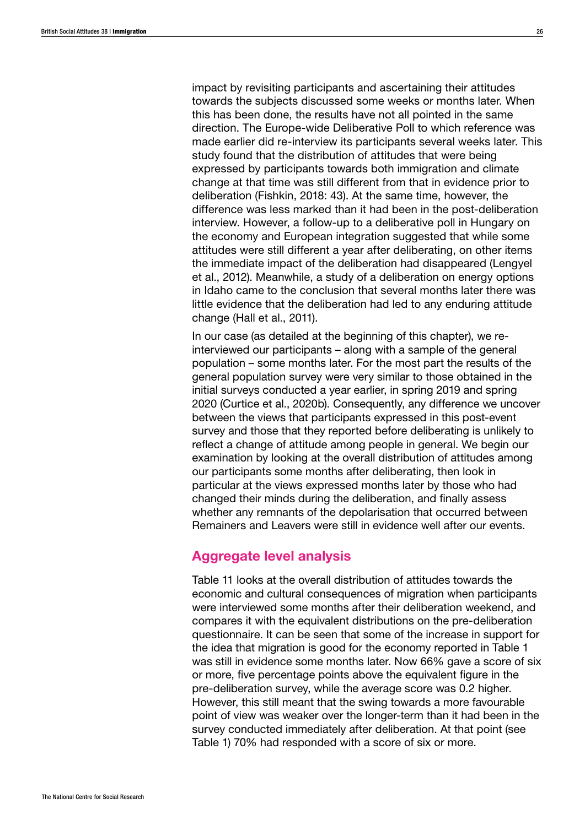impact by revisiting participants and ascertaining their attitudes towards the subjects discussed some weeks or months later. When this has been done, the results have not all pointed in the same direction. The Europe-wide Deliberative Poll to which reference was made earlier did re-interview its participants several weeks later. This study found that the distribution of attitudes that were being expressed by participants towards both immigration and climate change at that time was still different from that in evidence prior to deliberation (Fishkin, 2018: 43). At the same time, however, the difference was less marked than it had been in the post-deliberation interview. However, a follow-up to a deliberative poll in Hungary on the economy and European integration suggested that while some attitudes were still different a year after deliberating, on other items the immediate impact of the deliberation had disappeared (Lengyel et al., 2012). Meanwhile, a study of a deliberation on energy options in Idaho came to the conclusion that several months later there was little evidence that the deliberation had led to any enduring attitude change (Hall et al., 2011).

In our case (as detailed at the beginning of this chapter), we reinterviewed our participants – along with a sample of the general population – some months later. For the most part the results of the general population survey were very similar to those obtained in the initial surveys conducted a year earlier, in spring 2019 and spring 2020 (Curtice et al., 2020b). Consequently, any difference we uncover between the views that participants expressed in this post-event survey and those that they reported before deliberating is unlikely to reflect a change of attitude among people in general. We begin our examination by looking at the overall distribution of attitudes among our participants some months after deliberating, then look in particular at the views expressed months later by those who had changed their minds during the deliberation, and finally assess whether any remnants of the depolarisation that occurred between Remainers and Leavers were still in evidence well after our events.

## Aggregate level analysis

Table 11 looks at the overall distribution of attitudes towards the economic and cultural consequences of migration when participants were interviewed some months after their deliberation weekend, and compares it with the equivalent distributions on the pre-deliberation questionnaire. It can be seen that some of the increase in support for the idea that migration is good for the economy reported in Table 1 was still in evidence some months later. Now 66% gave a score of six or more, five percentage points above the equivalent figure in the pre-deliberation survey, while the average score was 0.2 higher. However, this still meant that the swing towards a more favourable point of view was weaker over the longer-term than it had been in the survey conducted immediately after deliberation. At that point (see Table 1) 70% had responded with a score of six or more.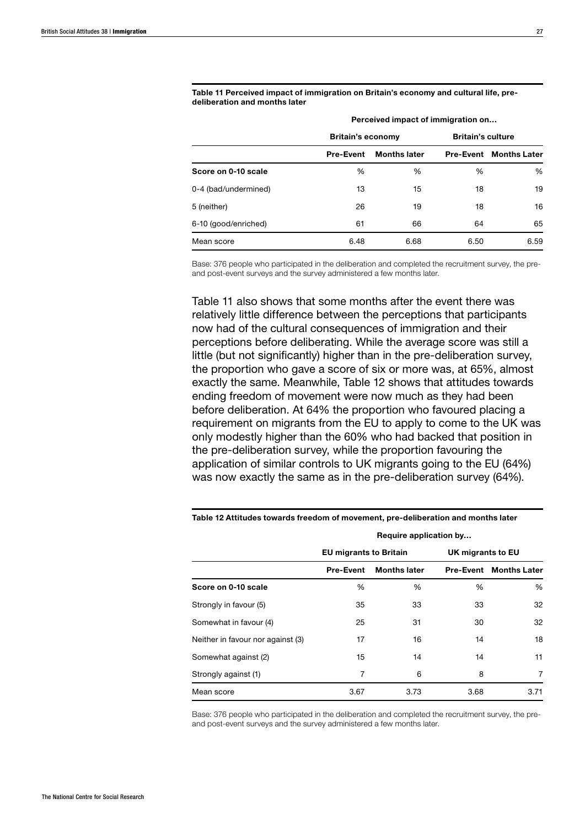Table 11 Perceived impact of immigration on Britain's economy and cultural life, predeliberation and months later

|                      | <b>Britain's economy</b> |                     |      | <b>Britain's culture</b>      |  |  |
|----------------------|--------------------------|---------------------|------|-------------------------------|--|--|
|                      | <b>Pre-Event</b>         | <b>Months later</b> |      | <b>Pre-Event Months Later</b> |  |  |
| Score on 0-10 scale  | %                        | %                   | %    | %                             |  |  |
| 0-4 (bad/undermined) | 13                       | 15                  | 18   | 19                            |  |  |
| 5 (neither)          | 26                       | 19                  | 18   | 16                            |  |  |
| 6-10 (good/enriched) | 61                       | 66                  | 64   | 65                            |  |  |
| Mean score           | 6.48                     | 6.68                | 6.50 | 6.59                          |  |  |

Perceived impact of immigration on…

Base: 376 people who participated in the deliberation and completed the recruitment survey, the preand post-event surveys and the survey administered a few months later.

Table 11 also shows that some months after the event there was relatively little difference between the perceptions that participants now had of the cultural consequences of immigration and their perceptions before deliberating. While the average score was still a little (but not significantly) higher than in the pre-deliberation survey, the proportion who gave a score of six or more was, at 65%, almost exactly the same. Meanwhile, Table 12 shows that attitudes towards ending freedom of movement were now much as they had been before deliberation. At 64% the proportion who favoured placing a requirement on migrants from the EU to apply to come to the UK was only modestly higher than the 60% who had backed that position in the pre-deliberation survey, while the proportion favouring the application of similar controls to UK migrants going to the EU (64%) was now exactly the same as in the pre-deliberation survey (64%).

|                                   | <b>EU migrants to Britain</b> |                     | UK migrants to EU |                               |  |
|-----------------------------------|-------------------------------|---------------------|-------------------|-------------------------------|--|
|                                   | <b>Pre-Event</b>              | <b>Months later</b> |                   | <b>Pre-Event Months Later</b> |  |
| Score on 0-10 scale               | %                             | %                   | %                 | %                             |  |
| Strongly in favour (5)            | 35                            | 33                  | 33                | 32                            |  |
| Somewhat in favour (4)            | 25                            | 31                  | 30                | 32                            |  |
| Neither in favour nor against (3) | 17                            | 16                  | 14                | 18                            |  |
| Somewhat against (2)              | 15                            | 14                  | 14                | 11                            |  |
| Strongly against (1)              | 7                             | 6                   | 8                 | 7                             |  |
| Mean score                        | 3.67                          | 3.73                | 3.68              | 3.71                          |  |

Table 12 Attitudes towards freedom of movement, pre-deliberation and months later

Require application by…

Base: 376 people who participated in the deliberation and completed the recruitment survey, the preand post-event surveys and the survey administered a few months later.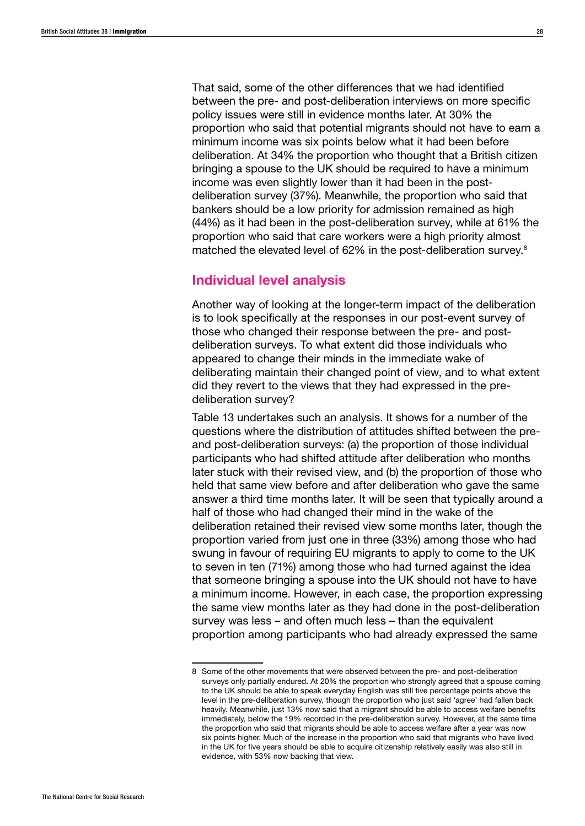That said, some of the other differences that we had identified between the pre- and post-deliberation interviews on more specific policy issues were still in evidence months later. At 30% the proportion who said that potential migrants should not have to earn a minimum income was six points below what it had been before deliberation. At 34% the proportion who thought that a British citizen bringing a spouse to the UK should be required to have a minimum income was even slightly lower than it had been in the postdeliberation survey (37%). Meanwhile, the proportion who said that bankers should be a low priority for admission remained as high (44%) as it had been in the post-deliberation survey, while at 61% the proportion who said that care workers were a high priority almost matched the elevated level of 62% in the post-deliberation survey.8

## Individual level analysis

Another way of looking at the longer-term impact of the deliberation is to look specifically at the responses in our post-event survey of those who changed their response between the pre- and postdeliberation surveys. To what extent did those individuals who appeared to change their minds in the immediate wake of deliberating maintain their changed point of view, and to what extent did they revert to the views that they had expressed in the predeliberation survey?

Table 13 undertakes such an analysis. It shows for a number of the questions where the distribution of attitudes shifted between the preand post-deliberation surveys: (a) the proportion of those individual participants who had shifted attitude after deliberation who months later stuck with their revised view, and (b) the proportion of those who held that same view before and after deliberation who gave the same answer a third time months later. It will be seen that typically around a half of those who had changed their mind in the wake of the deliberation retained their revised view some months later, though the proportion varied from just one in three (33%) among those who had swung in favour of requiring EU migrants to apply to come to the UK to seven in ten (71%) among those who had turned against the idea that someone bringing a spouse into the UK should not have to have a minimum income. However, in each case, the proportion expressing the same view months later as they had done in the post-deliberation survey was less – and often much less – than the equivalent proportion among participants who had already expressed the same

<sup>8</sup> Some of the other movements that were observed between the pre- and post-deliberation surveys only partially endured. At 20% the proportion who strongly agreed that a spouse coming to the UK should be able to speak everyday English was still five percentage points above the level in the pre-deliberation survey, though the proportion who just said 'agree' had fallen back heavily. Meanwhile, just 13% now said that a migrant should be able to access welfare benefits immediately, below the 19% recorded in the pre-deliberation survey. However, at the same time the proportion who said that migrants should be able to access welfare after a year was now six points higher. Much of the increase in the proportion who said that migrants who have lived in the UK for five years should be able to acquire citizenship relatively easily was also still in evidence, with 53% now backing that view.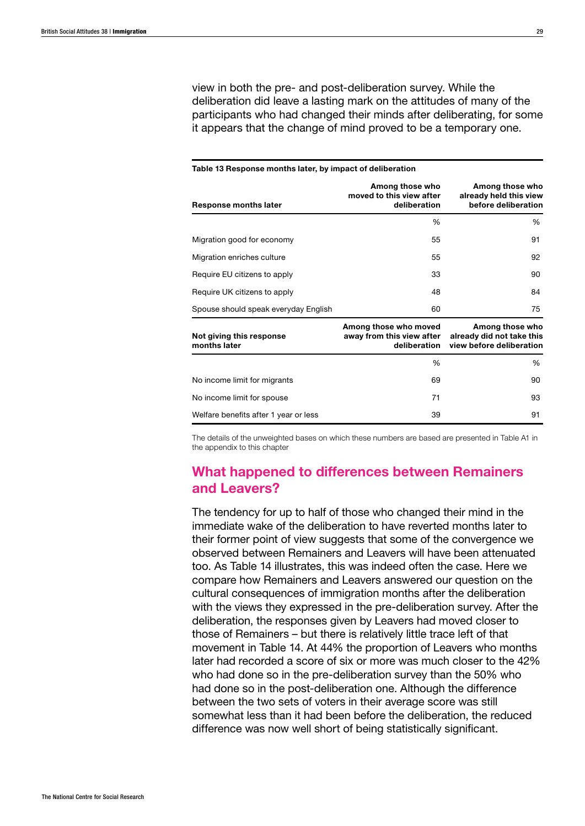view in both the pre- and post-deliberation survey. While the deliberation did leave a lasting mark on the attitudes of many of the participants who had changed their minds after deliberating, for some it appears that the change of mind proved to be a temporary one.

| Table 13 Response months later, by impact of deliberation |                                                                    |                                                                          |  |  |
|-----------------------------------------------------------|--------------------------------------------------------------------|--------------------------------------------------------------------------|--|--|
| <b>Response months later</b>                              | Among those who<br>moved to this view after<br>deliberation        | Among those who<br>already held this view<br>before deliberation         |  |  |
|                                                           | $\%$                                                               | ℅                                                                        |  |  |
| Migration good for economy                                | 55                                                                 | 91                                                                       |  |  |
| Migration enriches culture                                | 55                                                                 | 92                                                                       |  |  |
| Require EU citizens to apply                              | 33                                                                 | 90                                                                       |  |  |
| Require UK citizens to apply                              | 48                                                                 | 84                                                                       |  |  |
| Spouse should speak everyday English                      | 60                                                                 | 75                                                                       |  |  |
| Not giving this response<br>months later                  | Among those who moved<br>away from this view after<br>deliberation | Among those who<br>already did not take this<br>view before deliberation |  |  |
|                                                           | $\frac{0}{0}$                                                      | $\frac{0}{0}$                                                            |  |  |
| No income limit for migrants                              | 69                                                                 | 90                                                                       |  |  |
| No income limit for spouse                                | 71                                                                 | 93                                                                       |  |  |
| Welfare benefits after 1 year or less                     | 39                                                                 | 91                                                                       |  |  |

The details of the unweighted bases on which these numbers are based are presented in Table A1 in the appendix to this chapter

## What happened to differences between Remainers and Leavers?

The tendency for up to half of those who changed their mind in the immediate wake of the deliberation to have reverted months later to their former point of view suggests that some of the convergence we observed between Remainers and Leavers will have been attenuated too. As Table 14 illustrates, this was indeed often the case. Here we compare how Remainers and Leavers answered our question on the cultural consequences of immigration months after the deliberation with the views they expressed in the pre-deliberation survey. After the deliberation, the responses given by Leavers had moved closer to those of Remainers – but there is relatively little trace left of that movement in Table 14. At 44% the proportion of Leavers who months later had recorded a score of six or more was much closer to the 42% who had done so in the pre-deliberation survey than the 50% who had done so in the post-deliberation one. Although the difference between the two sets of voters in their average score was still somewhat less than it had been before the deliberation, the reduced difference was now well short of being statistically significant.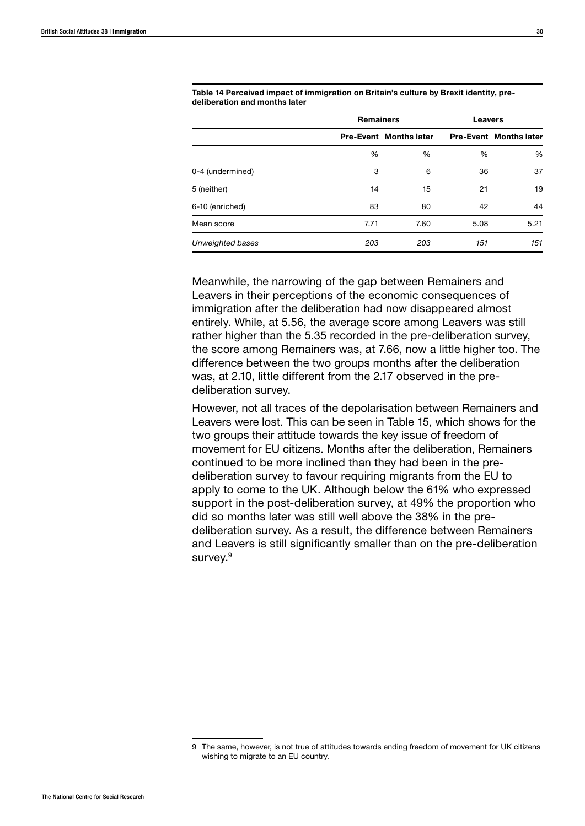|                  | <b>Remainers</b> |                               |      | <b>Leavers</b>                |  |
|------------------|------------------|-------------------------------|------|-------------------------------|--|
|                  |                  | <b>Pre-Event Months later</b> |      | <b>Pre-Event Months later</b> |  |
|                  | %                | %                             | %    | %                             |  |
| 0-4 (undermined) | 3                | 6                             | 36   | 37                            |  |
| 5 (neither)      | 14               | 15                            | 21   | 19                            |  |
| 6-10 (enriched)  | 83               | 80                            | 42   | 44                            |  |
| Mean score       | 7.71             | 7.60                          | 5.08 | 5.21                          |  |
| Unweighted bases | 203              | 203                           | 151  | 151                           |  |

Table 14 Perceived impact of immigration on Britain's culture by Brexit identity, predeliberation and months later

Meanwhile, the narrowing of the gap between Remainers and Leavers in their perceptions of the economic consequences of immigration after the deliberation had now disappeared almost entirely. While, at 5.56, the average score among Leavers was still rather higher than the 5.35 recorded in the pre-deliberation survey, the score among Remainers was, at 7.66, now a little higher too. The difference between the two groups months after the deliberation was, at 2.10, little different from the 2.17 observed in the predeliberation survey.

However, not all traces of the depolarisation between Remainers and Leavers were lost. This can be seen in Table 15, which shows for the two groups their attitude towards the key issue of freedom of movement for EU citizens. Months after the deliberation, Remainers continued to be more inclined than they had been in the predeliberation survey to favour requiring migrants from the EU to apply to come to the UK. Although below the 61% who expressed support in the post-deliberation survey, at 49% the proportion who did so months later was still well above the 38% in the predeliberation survey. As a result, the difference between Remainers and Leavers is still significantly smaller than on the pre-deliberation survey.<sup>9</sup>

<sup>9</sup> The same, however, is not true of attitudes towards ending freedom of movement for UK citizens wishing to migrate to an EU country.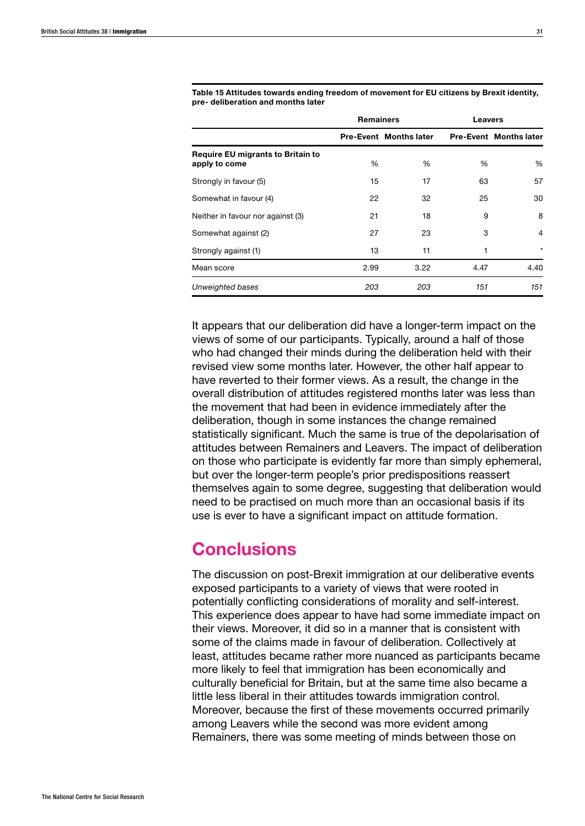|                                                           | <b>Remainers</b> |                               |      | <b>Leavers</b>                |  |
|-----------------------------------------------------------|------------------|-------------------------------|------|-------------------------------|--|
|                                                           |                  | <b>Pre-Event Months later</b> |      | <b>Pre-Event Months later</b> |  |
| <b>Require EU migrants to Britain to</b><br>apply to come | %                | %                             | %    | %                             |  |
| Strongly in favour (5)                                    | 15               | 17                            | 63   | 57                            |  |
| Somewhat in favour (4)                                    | 22               | 32                            | 25   | 30                            |  |
| Neither in favour nor against (3)                         | 21               | 18                            | 9    | 8                             |  |
| Somewhat against (2)                                      | 27               | 23                            | 3    | 4                             |  |
| Strongly against (1)                                      | 13               | 11                            | 1    | $\star$                       |  |
| Mean score                                                | 2.99             | 3.22                          | 4.47 | 4.40                          |  |
| Unweighted bases                                          | 203              | 203                           | 151  | 151                           |  |

Table 15 Attitudes towards ending freedom of movement for EU citizens by Brexit identity, pre- deliberation and months later

It appears that our deliberation did have a longer-term impact on the views of some of our participants. Typically, around a half of those who had changed their minds during the deliberation held with their revised view some months later. However, the other half appear to have reverted to their former views. As a result, the change in the overall distribution of attitudes registered months later was less than the movement that had been in evidence immediately after the deliberation, though in some instances the change remained statistically significant. Much the same is true of the depolarisation of attitudes between Remainers and Leavers. The impact of deliberation on those who participate is evidently far more than simply ephemeral, but over the longer-term people's prior predispositions reassert themselves again to some degree, suggesting that deliberation would need to be practised on much more than an occasional basis if its use is ever to have a significant impact on attitude formation.

# **Conclusions**

The discussion on post-Brexit immigration at our deliberative events exposed participants to a variety of views that were rooted in potentially conflicting considerations of morality and self-interest. This experience does appear to have had some immediate impact on their views. Moreover, it did so in a manner that is consistent with some of the claims made in favour of deliberation. Collectively at least, attitudes became rather more nuanced as participants became more likely to feel that immigration has been economically and culturally beneficial for Britain, but at the same time also became a little less liberal in their attitudes towards immigration control. Moreover, because the first of these movements occurred primarily among Leavers while the second was more evident among Remainers, there was some meeting of minds between those on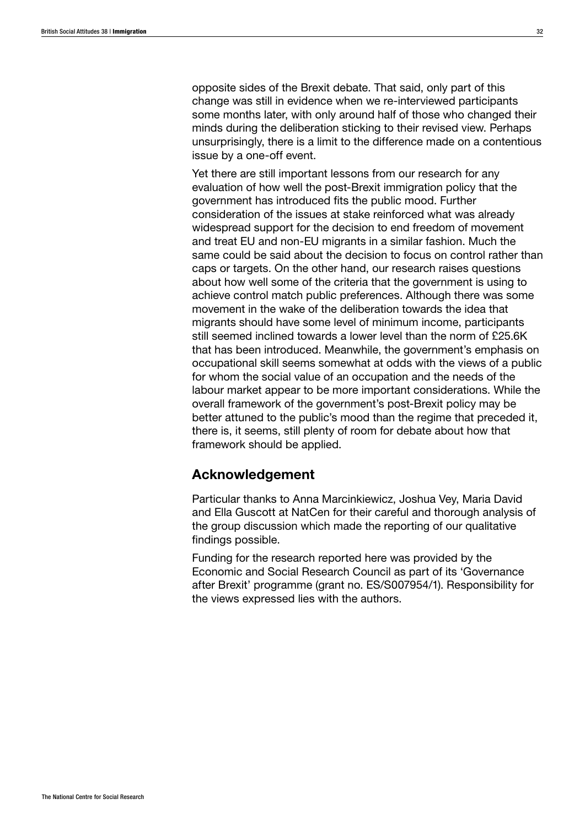opposite sides of the Brexit debate. That said, only part of this change was still in evidence when we re-interviewed participants some months later, with only around half of those who changed their minds during the deliberation sticking to their revised view. Perhaps unsurprisingly, there is a limit to the difference made on a contentious issue by a one-off event.

Yet there are still important lessons from our research for any evaluation of how well the post-Brexit immigration policy that the government has introduced fits the public mood. Further consideration of the issues at stake reinforced what was already widespread support for the decision to end freedom of movement and treat EU and non-EU migrants in a similar fashion. Much the same could be said about the decision to focus on control rather than caps or targets. On the other hand, our research raises questions about how well some of the criteria that the government is using to achieve control match public preferences. Although there was some movement in the wake of the deliberation towards the idea that migrants should have some level of minimum income, participants still seemed inclined towards a lower level than the norm of £25.6K that has been introduced. Meanwhile, the government's emphasis on occupational skill seems somewhat at odds with the views of a public for whom the social value of an occupation and the needs of the labour market appear to be more important considerations. While the overall framework of the government's post-Brexit policy may be better attuned to the public's mood than the regime that preceded it, there is, it seems, still plenty of room for debate about how that framework should be applied.

## Acknowledgement

Particular thanks to Anna Marcinkiewicz, Joshua Vey, Maria David and Ella Guscott at NatCen for their careful and thorough analysis of the group discussion which made the reporting of our qualitative findings possible.

Funding for the research reported here was provided by the Economic and Social Research Council as part of its 'Governance after Brexit' programme (grant no. ES/S007954/1). Responsibility for the views expressed lies with the authors.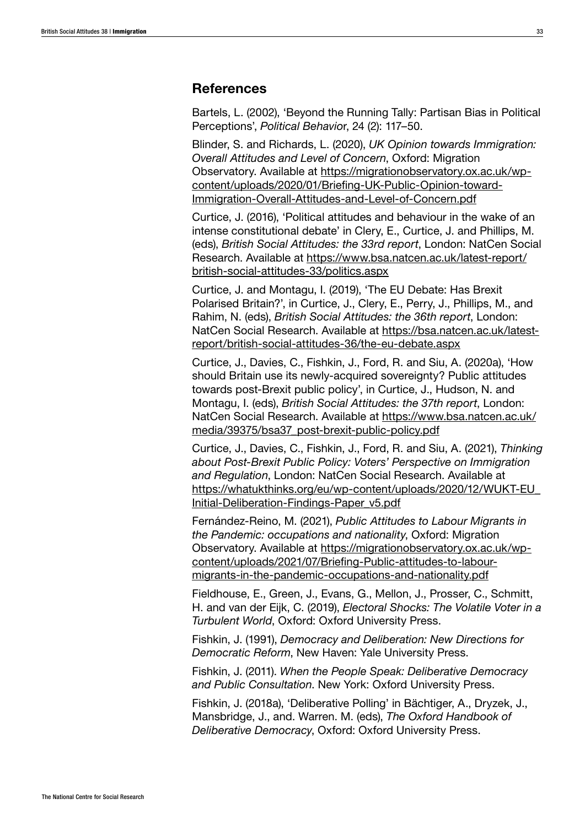### References

Bartels, L. (2002), 'Beyond the Running Tally: Partisan Bias in Political Perceptions', *Political Behavio*r, 24 (2): 117–50.

Blinder, S. and Richards, L. (2020), *UK Opinion towards Immigration: Overall Attitudes and Level of Concern*, Oxford: Migration Observatory. Available at [https://migrationobservatory.ox.ac.uk/wp](https://migrationobservatory.ox.ac.uk/wp-content/uploads/2020/01/Briefing-UK-Public-Opinion-toward-Immigration-Overall-Attitudes-and-Level-of-Concern.pdf)[content/uploads/2020/01/Briefing-UK-Public-Opinion-toward-](https://migrationobservatory.ox.ac.uk/wp-content/uploads/2020/01/Briefing-UK-Public-Opinion-toward-Immigration-Overall-Attitudes-and-Level-of-Concern.pdf)[Immigration-Overall-Attitudes-and-Level-of-Concern.pdf](https://migrationobservatory.ox.ac.uk/wp-content/uploads/2020/01/Briefing-UK-Public-Opinion-toward-Immigration-Overall-Attitudes-and-Level-of-Concern.pdf)

Curtice, J. (2016), 'Political attitudes and behaviour in the wake of an intense constitutional debate' in Clery, E., Curtice, J. and Phillips, M. (eds), *British Social Attitudes: the 33rd report*, London: NatCen Social Research. Available at [https://www.bsa.natcen.ac.uk/latest-report/](https://www.bsa.natcen.ac.uk/latest-report/british-social-attitudes-33/politics.aspx) [british-social-attitudes-33/politics.aspx](https://www.bsa.natcen.ac.uk/latest-report/british-social-attitudes-33/politics.aspx)

Curtice, J. and Montagu, I. (2019), 'The EU Debate: Has Brexit Polarised Britain?', in Curtice, J., Clery, E., Perry, J., Phillips, M., and Rahim, N. (eds), *British Social Attitudes: the 36th report*, London: NatCen Social Research. Available at [https://bsa.natcen.ac.uk/latest](https://bsa.natcen.ac.uk/latest-report/british-social-attitudes-36/the-eu-debate.aspx)[report/british-social-attitudes-36/the-eu-debate.aspx](https://bsa.natcen.ac.uk/latest-report/british-social-attitudes-36/the-eu-debate.aspx)

Curtice, J., Davies, C., Fishkin, J., Ford, R. and Siu, A. (2020a), 'How should Britain use its newly-acquired sovereignty? Public attitudes towards post-Brexit public policy', in Curtice, J., Hudson, N. and Montagu, I. (eds), *British Social Attitudes: the 37th report*, London: NatCen Social Research. Available at [https://www.bsa.natcen.ac.uk/](https://www.bsa.natcen.ac.uk/media/39375/bsa37_post-brexit-public-policy.pdf) [media/39375/bsa37\\_post-brexit-public-policy.pdf](https://www.bsa.natcen.ac.uk/media/39375/bsa37_post-brexit-public-policy.pdf)

Curtice, J., Davies, C., Fishkin, J., Ford, R. and Siu, A. (2021), *Thinking about Post-Brexit Public Policy: Voters' Perspective on Immigration and Regulation*, London: NatCen Social Research. Available at [https://whatukthinks.org/eu/wp-content/uploads/2020/12/WUKT-EU\\_](https://whatukthinks.org/eu/wp-content/uploads/2020/12/WUKT-EU_Initial-Deliberation-Findings-Paper_v5.pdf) [Initial-Deliberation-Findings-Paper\\_v5.pdf](https://whatukthinks.org/eu/wp-content/uploads/2020/12/WUKT-EU_Initial-Deliberation-Findings-Paper_v5.pdf)

Fernández-Reino, M. (2021), *Public Attitudes to Labour Migrants in the Pandemic: occupations and nationality*, Oxford: Migration Observatory. Available at [https://migrationobservatory.ox.ac.uk/wp](https://migrationobservatory.ox.ac.uk/wp-content/uploads/2021/07/Briefing-Public-attitudes-to-labour-migrants-in-the-pandemic-occupations-and-nationality.pdf)[content/uploads/2021/07/Briefing-Public-attitudes-to-labour](https://migrationobservatory.ox.ac.uk/wp-content/uploads/2021/07/Briefing-Public-attitudes-to-labour-migrants-in-the-pandemic-occupations-and-nationality.pdf)[migrants-in-the-pandemic-occupations-and-nationality.pdf](https://migrationobservatory.ox.ac.uk/wp-content/uploads/2021/07/Briefing-Public-attitudes-to-labour-migrants-in-the-pandemic-occupations-and-nationality.pdf)

Fieldhouse, E., Green, J., Evans, G., Mellon, J., Prosser, C., Schmitt, H. and van der Eijk, C. (2019), *Electoral Shocks: The Volatile Voter in a Turbulent World*, Oxford: Oxford University Press.

Fishkin, J. (1991), *Democracy and Deliberation: New Directions for Democratic Reform*, New Haven: Yale University Press.

Fishkin, J. (2011). *When the People Speak: Deliberative Democracy and Public Consultation*. New York: Oxford University Press.

Fishkin, J. (2018a), 'Deliberative Polling' in Bächtiger, A., Dryzek, J., Mansbridge, J., and. Warren. M. (eds), *The Oxford Handbook of Deliberative Democracy*, Oxford: Oxford University Press.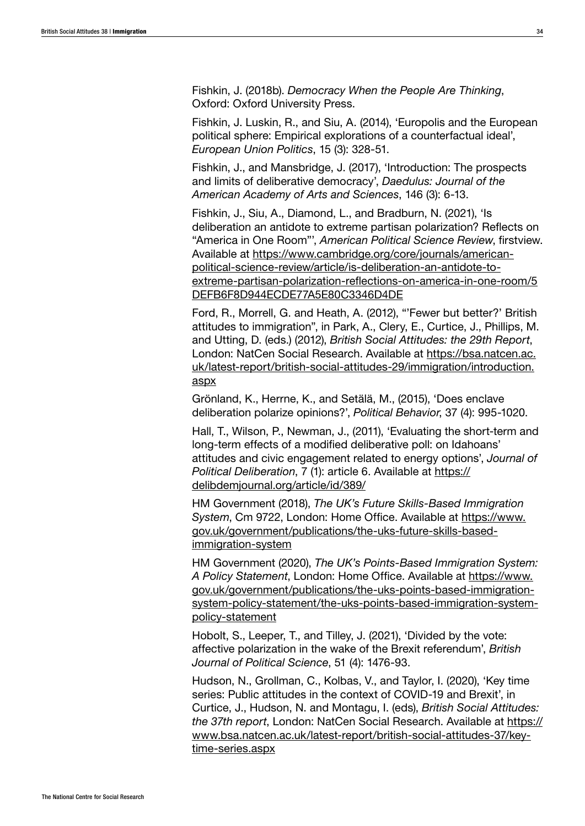Fishkin, J. (2018b). *Democracy When the People Are Thinking*, Oxford: Oxford University Press.

Fishkin, J. Luskin, R., and Siu, A. (2014), 'Europolis and the European political sphere: Empirical explorations of a counterfactual ideal', *European Union Politics*, 15 (3): 328-51.

Fishkin, J., and Mansbridge, J. (2017), 'Introduction: The prospects and limits of deliberative democracy', *Daedulus: Journal of the American Academy of Arts and Sciences*, 146 (3): 6-13.

Fishkin, J., Siu, A., Diamond, L., and Bradburn, N. (2021), 'Is deliberation an antidote to extreme partisan polarization? Reflects on "America in One Room"', *American Political Science Review*, firstview. Available at [https://www.cambridge.org/core/journals/american](https://www.cambridge.org/core/journals/american-political-science-review/article/is-deliberation-an-antidote-to-extreme-partisan-polarization-reflections-on-america-in-one-room/5DEFB6F8D944ECDE77A5E80C3346D4DE)[political-science-review/article/is-deliberation-an-antidote-to](https://www.cambridge.org/core/journals/american-political-science-review/article/is-deliberation-an-antidote-to-extreme-partisan-polarization-reflections-on-america-in-one-room/5DEFB6F8D944ECDE77A5E80C3346D4DE)[extreme-partisan-polarization-reflections-on-america-in-one-room/5](https://www.cambridge.org/core/journals/american-political-science-review/article/is-deliberation-an-antidote-to-extreme-partisan-polarization-reflections-on-america-in-one-room/5DEFB6F8D944ECDE77A5E80C3346D4DE) [DEFB6F8D944ECDE77A5E80C3346D4DE](https://www.cambridge.org/core/journals/american-political-science-review/article/is-deliberation-an-antidote-to-extreme-partisan-polarization-reflections-on-america-in-one-room/5DEFB6F8D944ECDE77A5E80C3346D4DE)

Ford, R., Morrell, G. and Heath, A. (2012), "'Fewer but better?' British attitudes to immigration", in Park, A., Clery, E., Curtice, J., Phillips, M. and Utting, D. (eds.) (2012), *British Social Attitudes: the 29th Report*, London: NatCen Social Research. Available at [https://bsa.natcen.ac.](https://bsa.natcen.ac.uk/latest-report/british-social-attitudes-29/immigration/introduction.aspx) [uk/latest-report/british-social-attitudes-29/immigration/introduction.](https://bsa.natcen.ac.uk/latest-report/british-social-attitudes-29/immigration/introduction.aspx) [aspx](https://bsa.natcen.ac.uk/latest-report/british-social-attitudes-29/immigration/introduction.aspx)

Grönland, K., Herrne, K., and Setälä, M., (2015), 'Does enclave deliberation polarize opinions?', *Political Behavior*, 37 (4): 995-1020.

Hall, T., Wilson, P., Newman, J., (2011), 'Evaluating the short-term and long-term effects of a modified deliberative poll: on Idahoans' attitudes and civic engagement related to energy options', *Journal of Political Deliberation*, 7 (1): article 6. Available at [https://](https://delibdemjournal.org/article/id/389/) [delibdemjournal.org/article/id/389/](https://delibdemjournal.org/article/id/389/)

HM Government (2018), *The UK's Future Skills-Based Immigration System*, Cm 9722, London: Home Office. Available at [https://www.](https://www.gov.uk/government/publications/the-uks-future-skills-based-immigration-system) [gov.uk/government/publications/the-uks-future-skills-based](https://www.gov.uk/government/publications/the-uks-future-skills-based-immigration-system)[immigration-system](https://www.gov.uk/government/publications/the-uks-future-skills-based-immigration-system)

HM Government (2020), *The UK's Points-Based Immigration System: A Policy Statement*, London: Home Office. Available at [https://www.](https://www.gov.uk/government/publications/the-uks-points-based-immigration-system-policy-statement/the-uks-points-based-immigration-system-policy-statement) [gov.uk/government/publications/the-uks-points-based-immigration](https://www.gov.uk/government/publications/the-uks-points-based-immigration-system-policy-statement/the-uks-points-based-immigration-system-policy-statement)[system-policy-statement/the-uks-points-based-immigration-system](https://www.gov.uk/government/publications/the-uks-points-based-immigration-system-policy-statement/the-uks-points-based-immigration-system-policy-statement)[policy-statement](https://www.gov.uk/government/publications/the-uks-points-based-immigration-system-policy-statement/the-uks-points-based-immigration-system-policy-statement)

Hobolt, S., Leeper, T., and Tilley, J. (2021), 'Divided by the vote: affective polarization in the wake of the Brexit referendum', *British Journal of Political Science*, 51 (4): 1476-93.

Hudson, N., Grollman, C., Kolbas, V., and Taylor, I. (2020), 'Key time series: Public attitudes in the context of COVID-19 and Brexit', in Curtice, J., Hudson, N. and Montagu, I. (eds), *British Social Attitudes: the 37th report*, London: NatCen Social Research. Available at [https://](https://www.bsa.natcen.ac.uk/latest-report/british-social-attitudes-37/key-time-series.aspx) [www.bsa.natcen.ac.uk/latest-report/british-social-attitudes-37/key](https://www.bsa.natcen.ac.uk/latest-report/british-social-attitudes-37/key-time-series.aspx)[time-series.aspx](https://www.bsa.natcen.ac.uk/latest-report/british-social-attitudes-37/key-time-series.aspx)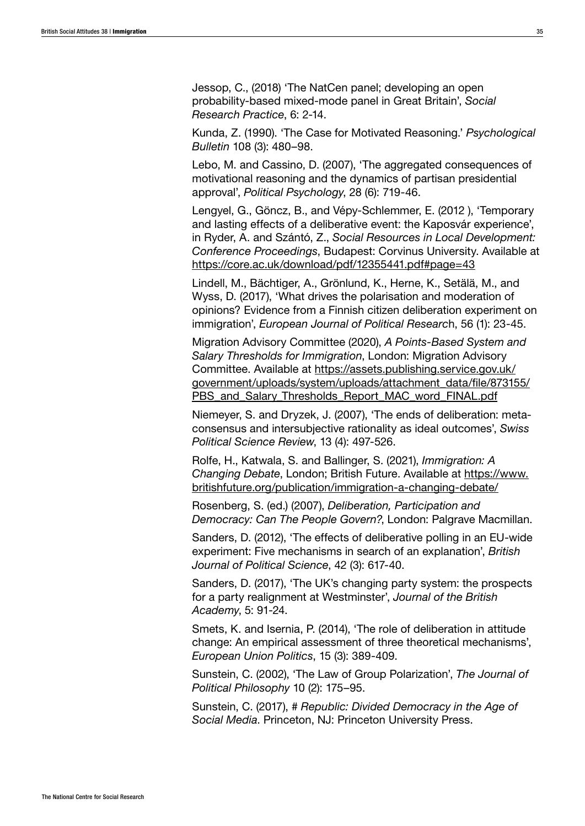Jessop, C., (2018) 'The NatCen panel; developing an open probability-based mixed-mode panel in Great Britain', *Social Research Practice*, 6: 2-14.

Kunda, Z. (1990). 'The Case for Motivated Reasoning.' *Psychological Bulletin* 108 (3): 480–98.

Lebo, M. and Cassino, D. (2007), 'The aggregated consequences of motivational reasoning and the dynamics of partisan presidential approval', *Political Psychology*, 28 (6): 719-46.

Lengyel, G., Göncz, B., and Vépy-Schlemmer, E. (2012 ), 'Temporary and lasting effects of a deliberative event: the Kaposvár experience', in Ryder, A. and Szántó, Z., *Social Resources in Local Development: Conference Proceedings*, Budapest: Corvinus University. Available at <https://core.ac.uk/download/pdf/12355441.pdf#page=43>

Lindell, M., Bächtiger, A., Grönlund, K., Herne, K., Setälä, M., and Wyss, D. (2017), 'What drives the polarisation and moderation of opinions? Evidence from a Finnish citizen deliberation experiment on immigration', *European Journal of Political Researc*h, 56 (1): 23-45.

Migration Advisory Committee (2020), *A Points-Based System and Salary Thresholds for Immigration*, London: Migration Advisory Committee. Available at [https://assets.publishing.service.gov.uk/](https://assets.publishing.service.gov.uk/government/uploads/system/uploads/attachment_data/file/873155/PBS_and_Salary_Thresholds_Report_MAC_word_FINAL.pdf) [government/uploads/system/uploads/attachment\\_data/file/873155/](https://assets.publishing.service.gov.uk/government/uploads/system/uploads/attachment_data/file/873155/PBS_and_Salary_Thresholds_Report_MAC_word_FINAL.pdf) PBS and Salary Thresholds Report MAC word FINAL.pdf

Niemeyer, S. and Dryzek, J. (2007), 'The ends of deliberation: metaconsensus and intersubjective rationality as ideal outcomes', *Swiss Political Science Review*, 13 (4): 497-526.

Rolfe, H., Katwala, S. and Ballinger, S. (2021), *Immigration: A Changing Debate*, London; British Future. Available at [https://www.](https://www.britishfuture.org/publication/immigration-a-changing-debate/) [britishfuture.org/publication/immigration-a-changing-debate/](https://www.britishfuture.org/publication/immigration-a-changing-debate/)

Rosenberg, S. (ed.) (2007), *Deliberation, Participation and Democracy: Can The People Govern?*, London: Palgrave Macmillan.

Sanders, D. (2012), 'The effects of deliberative polling in an EU-wide experiment: Five mechanisms in search of an explanation', *British Journal of Political Science*, 42 (3): 617-40.

Sanders, D. (2017), 'The UK's changing party system: the prospects for a party realignment at Westminster', *Journal of the British Academy*, 5: 91-24.

Smets, K. and Isernia, P. (2014), 'The role of deliberation in attitude change: An empirical assessment of three theoretical mechanisms', *European Union Politics*, 15 (3): 389-409.

Sunstein, C. (2002), 'The Law of Group Polarization', *The Journal of Political Philosophy* 10 (2): 175–95.

Sunstein, C. (2017), *# Republic: Divided Democracy in the Age of Social Media*. Princeton, NJ: Princeton University Press.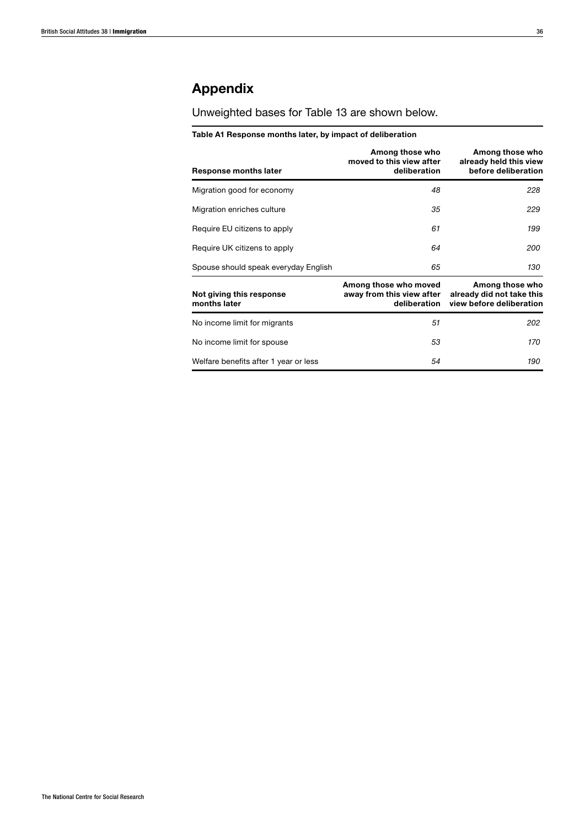# Appendix

Unweighted bases for Table 13 are shown below.

#### Table A1 Response months later, by impact of deliberation

| Response months later                    | Among those who<br>moved to this view after<br>deliberation        | Among those who<br>already held this view<br>before deliberation         |
|------------------------------------------|--------------------------------------------------------------------|--------------------------------------------------------------------------|
| Migration good for economy               | 48                                                                 | 228                                                                      |
| Migration enriches culture               | 35                                                                 | 229                                                                      |
| Require EU citizens to apply             | 61                                                                 | 199                                                                      |
| Require UK citizens to apply             | 64                                                                 | 200                                                                      |
| Spouse should speak everyday English     | 65                                                                 | 130                                                                      |
| Not giving this response<br>months later | Among those who moved<br>away from this view after<br>deliberation | Among those who<br>already did not take this<br>view before deliberation |
| No income limit for migrants             | 51                                                                 | 202                                                                      |
| No income limit for spouse               | 53                                                                 | 170                                                                      |
| Welfare benefits after 1 year or less    | 54                                                                 | 190                                                                      |